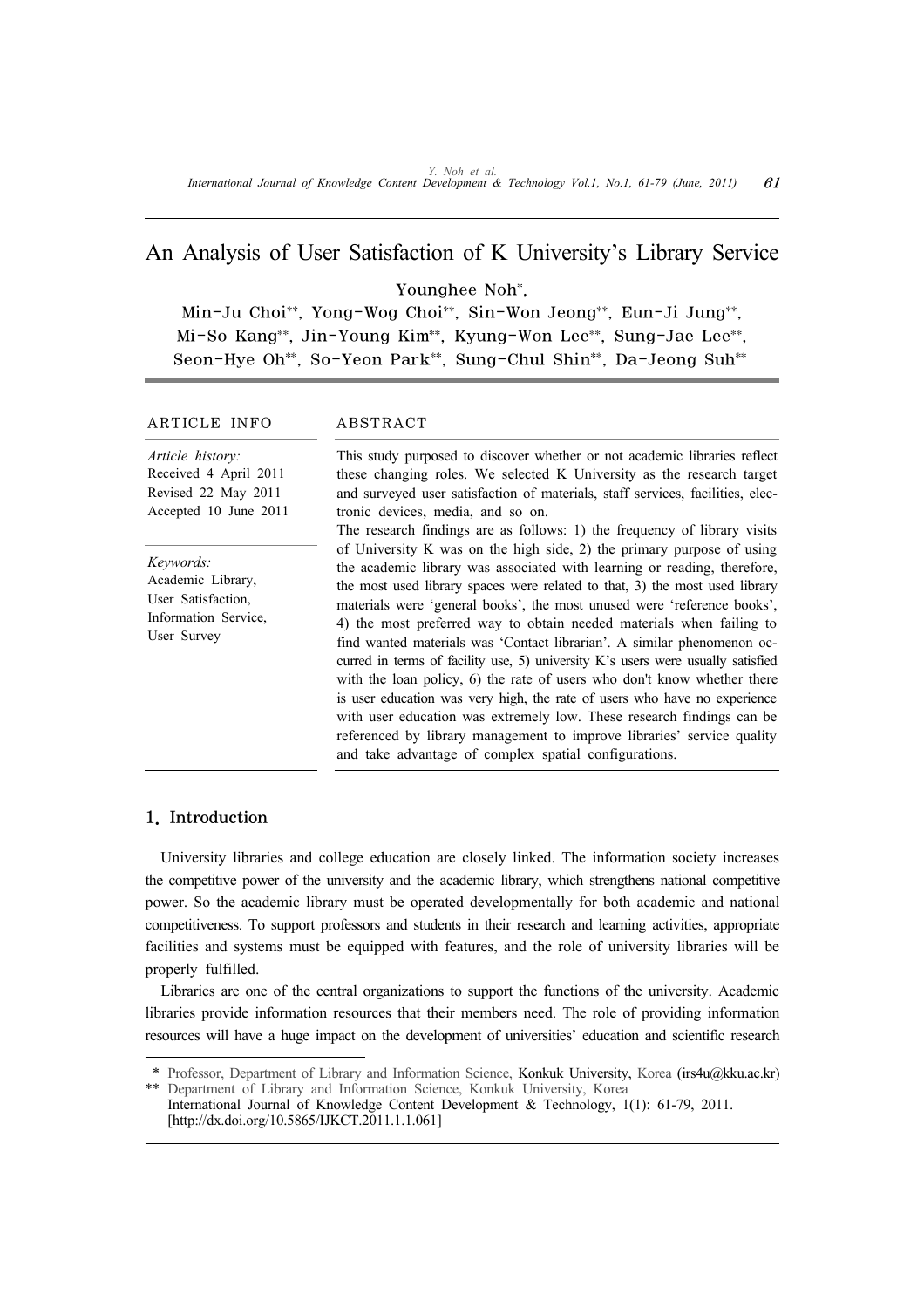# An Analysis of User Satisfaction of K University's Library Service

Younghee Noh\*,

Min-Ju Choi\*\*, Yong-Wog Choi\*\*, Sin-Won Jeong\*\*, Eun-Ji Jung\*\*, Mi-So Kang\*\*, Jin-Young Kim\*\*, Kyung-Won Lee\*\*, Sung-Jae Lee\*\*, Seon-Hye Oh\*\*, So-Yeon Park\*\*, Sung-Chul Shin\*\*, Da-Jeong Suh\*\*

# ARTICLE INFO ABSTRACT

*Article history:* Received 4 April 2011 Revised 22 May 2011 Accepted 10 June 2011

*Keywords:* Academic Library, User Satisfaction, Information Service, User Survey

tronic devices, media, and so on. The research findings are as follows: 1) the frequency of library visits of University K was on the high side, 2) the primary purpose of using the academic library was associated with learning or reading, therefore, the most used library spaces were related to that, 3) the most used library materials were 'general books', the most unused were 'reference books', 4) the most preferred way to obtain needed materials when failing to find wanted materials was 'Contact librarian'. A similar phenomenon occurred in terms of facility use, 5) university K's users were usually satisfied with the loan policy, 6) the rate of users who don't know whether there is user education was very high, the rate of users who have no experience with user education was extremely low. These research findings can be referenced by library management to improve libraries' service quality and take advantage of complex spatial configurations.

This study purposed to discover whether or not academic libraries reflect these changing roles. We selected K University as the research target and surveyed user satisfaction of materials, staff services, facilities, elec-

# 1. Introduction

University libraries and college education are closely linked. The information society increases the competitive power of the university and the academic library, which strengthens national competitive power. So the academic library must be operated developmentally for both academic and national competitiveness. To support professors and students in their research and learning activities, appropriate facilities and systems must be equipped with features, and the role of university libraries will be properly fulfilled.

Libraries are one of the central organizations to support the functions of the university. Academic libraries provide information resources that their members need. The role of providing information resources will have a huge impact on the development of universities' education and scientific research

<sup>\*</sup> Professor, Department of Library and Information Science, Konkuk University, Korea (irs4u@kku.ac.kr) Department of Library and Information Science, Konkuk University, Korea

International Journal of Knowledge Content Development & Technology, 1(1): 61-79, 2011. [http://dx.doi.org/10.5865/IJKCT.2011.1.1.061]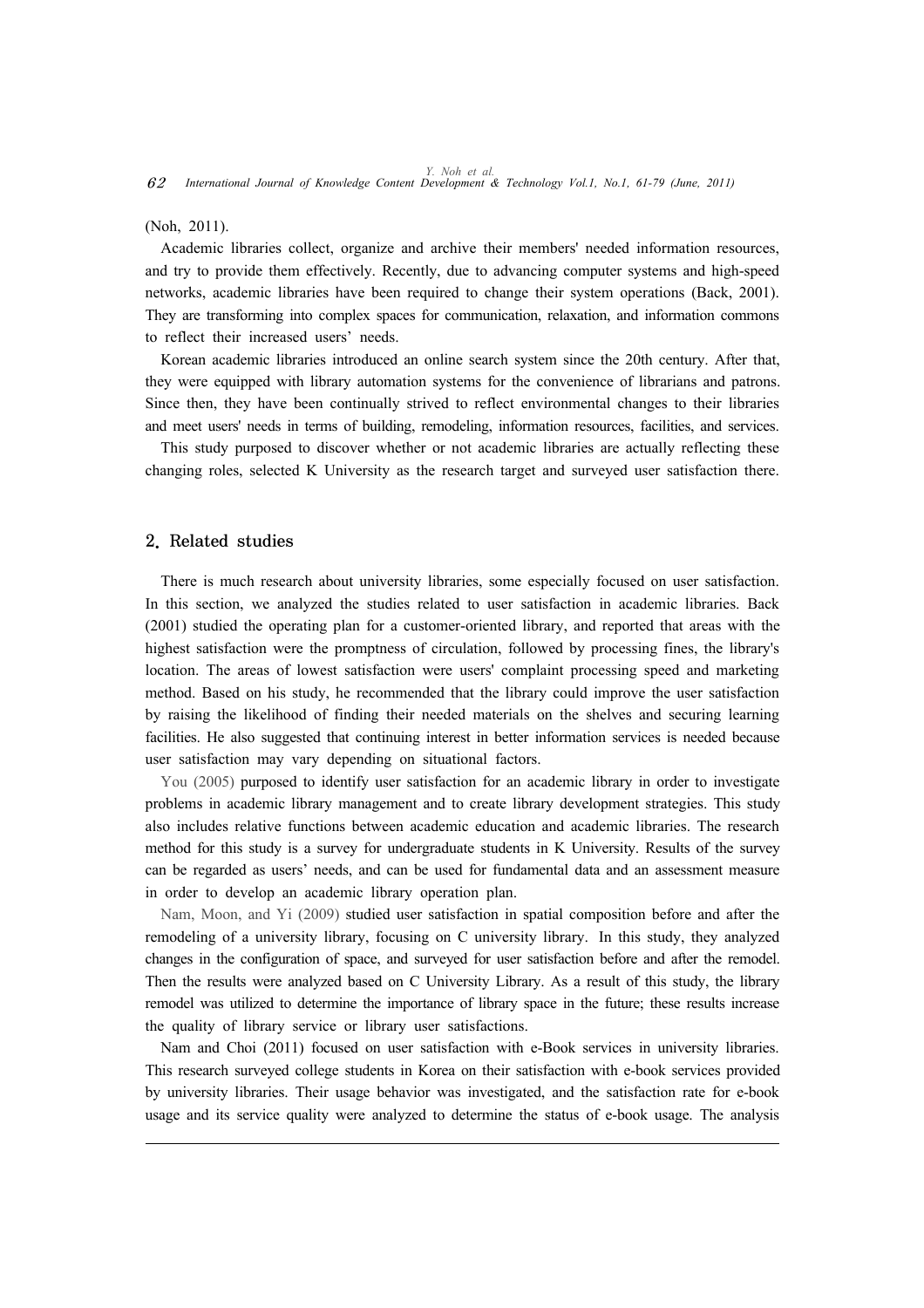(Noh, 2011).

Academic libraries collect, organize and archive their members' needed information resources, and try to provide them effectively. Recently, due to advancing computer systems and high-speed networks, academic libraries have been required to change their system operations (Back, 2001). They are transforming into complex spaces for communication, relaxation, and information commons to reflect their increased users' needs.

Korean academic libraries introduced an online search system since the 20th century. After that, they were equipped with library automation systems for the convenience of librarians and patrons. Since then, they have been continually strived to reflect environmental changes to their libraries and meet users' needs in terms of building, remodeling, information resources, facilities, and services.

This study purposed to discover whether or not academic libraries are actually reflecting these changing roles, selected K University as the research target and surveyed user satisfaction there.

### 2. Related studies

There is much research about university libraries, some especially focused on user satisfaction. In this section, we analyzed the studies related to user satisfaction in academic libraries. Back (2001) studied the operating plan for a customer-oriented library, and reported that areas with the highest satisfaction were the promptness of circulation, followed by processing fines, the library's location. The areas of lowest satisfaction were users' complaint processing speed and marketing method. Based on his study, he recommended that the library could improve the user satisfaction by raising the likelihood of finding their needed materials on the shelves and securing learning facilities. He also suggested that continuing interest in better information services is needed because user satisfaction may vary depending on situational factors.

You (2005) purposed to identify user satisfaction for an academic library in order to investigate problems in academic library management and to create library development strategies. This study also includes relative functions between academic education and academic libraries. The research method for this study is a survey for undergraduate students in K University. Results of the survey can be regarded as users' needs, and can be used for fundamental data and an assessment measure in order to develop an academic library operation plan.

Nam, Moon, and Yi (2009) studied user satisfaction in spatial composition before and after the remodeling of a university library, focusing on C university library. In this study, they analyzed changes in the configuration of space, and surveyed for user satisfaction before and after the remodel. Then the results were analyzed based on C University Library. As a result of this study, the library remodel was utilized to determine the importance of library space in the future; these results increase the quality of library service or library user satisfactions.

Nam and Choi (2011) focused on user satisfaction with e-Book services in university libraries. This research surveyed college students in Korea on their satisfaction with e-book services provided by university libraries. Their usage behavior was investigated, and the satisfaction rate for e-book usage and its service quality were analyzed to determine the status of e-book usage. The analysis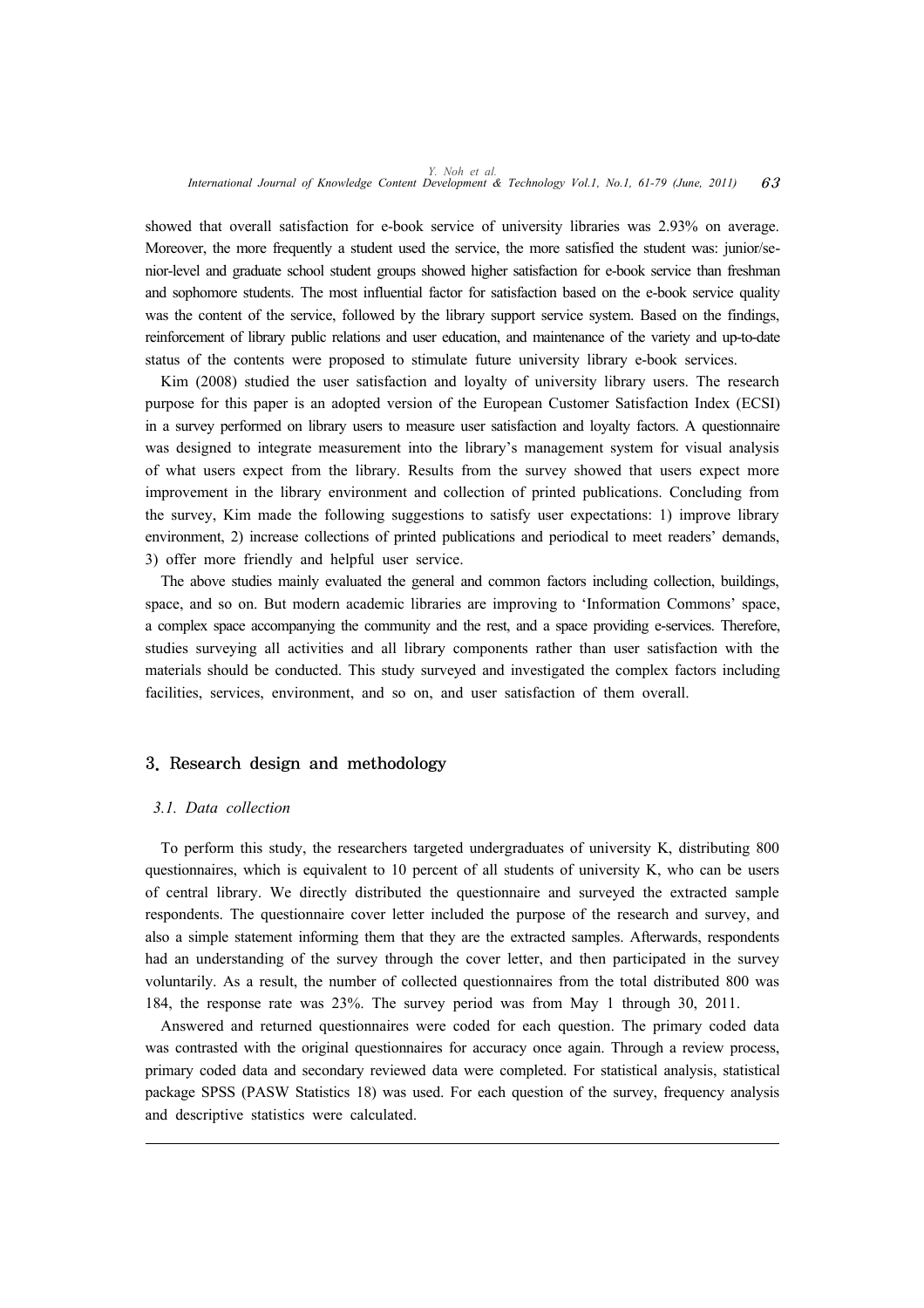showed that overall satisfaction for e-book service of university libraries was 2.93% on average. Moreover, the more frequently a student used the service, the more satisfied the student was: junior/senior-level and graduate school student groups showed higher satisfaction for e-book service than freshman and sophomore students. The most influential factor for satisfaction based on the e-book service quality was the content of the service, followed by the library support service system. Based on the findings, reinforcement of library public relations and user education, and maintenance of the variety and up-to-date status of the contents were proposed to stimulate future university library e-book services.

Kim (2008) studied the user satisfaction and loyalty of university library users. The research purpose for this paper is an adopted version of the European Customer Satisfaction Index (ECSI) in a survey performed on library users to measure user satisfaction and loyalty factors. A questionnaire was designed to integrate measurement into the library's management system for visual analysis of what users expect from the library. Results from the survey showed that users expect more improvement in the library environment and collection of printed publications. Concluding from the survey, Kim made the following suggestions to satisfy user expectations: 1) improve library environment, 2) increase collections of printed publications and periodical to meet readers' demands, 3) offer more friendly and helpful user service.

The above studies mainly evaluated the general and common factors including collection, buildings, space, and so on. But modern academic libraries are improving to 'Information Commons' space, a complex space accompanying the community and the rest, and a space providing e-services. Therefore, studies surveying all activities and all library components rather than user satisfaction with the materials should be conducted. This study surveyed and investigated the complex factors including facilities, services, environment, and so on, and user satisfaction of them overall.

# 3. Research design and methodology

#### *3.1. Data collection*

To perform this study, the researchers targeted undergraduates of university K, distributing 800 questionnaires, which is equivalent to 10 percent of all students of university K, who can be users of central library. We directly distributed the questionnaire and surveyed the extracted sample respondents. The questionnaire cover letter included the purpose of the research and survey, and also a simple statement informing them that they are the extracted samples. Afterwards, respondents had an understanding of the survey through the cover letter, and then participated in the survey voluntarily. As a result, the number of collected questionnaires from the total distributed 800 was 184, the response rate was 23%. The survey period was from May 1 through 30, 2011.

Answered and returned questionnaires were coded for each question. The primary coded data was contrasted with the original questionnaires for accuracy once again. Through a review process, primary coded data and secondary reviewed data were completed. For statistical analysis, statistical package SPSS (PASW Statistics 18) was used. For each question of the survey, frequency analysis and descriptive statistics were calculated.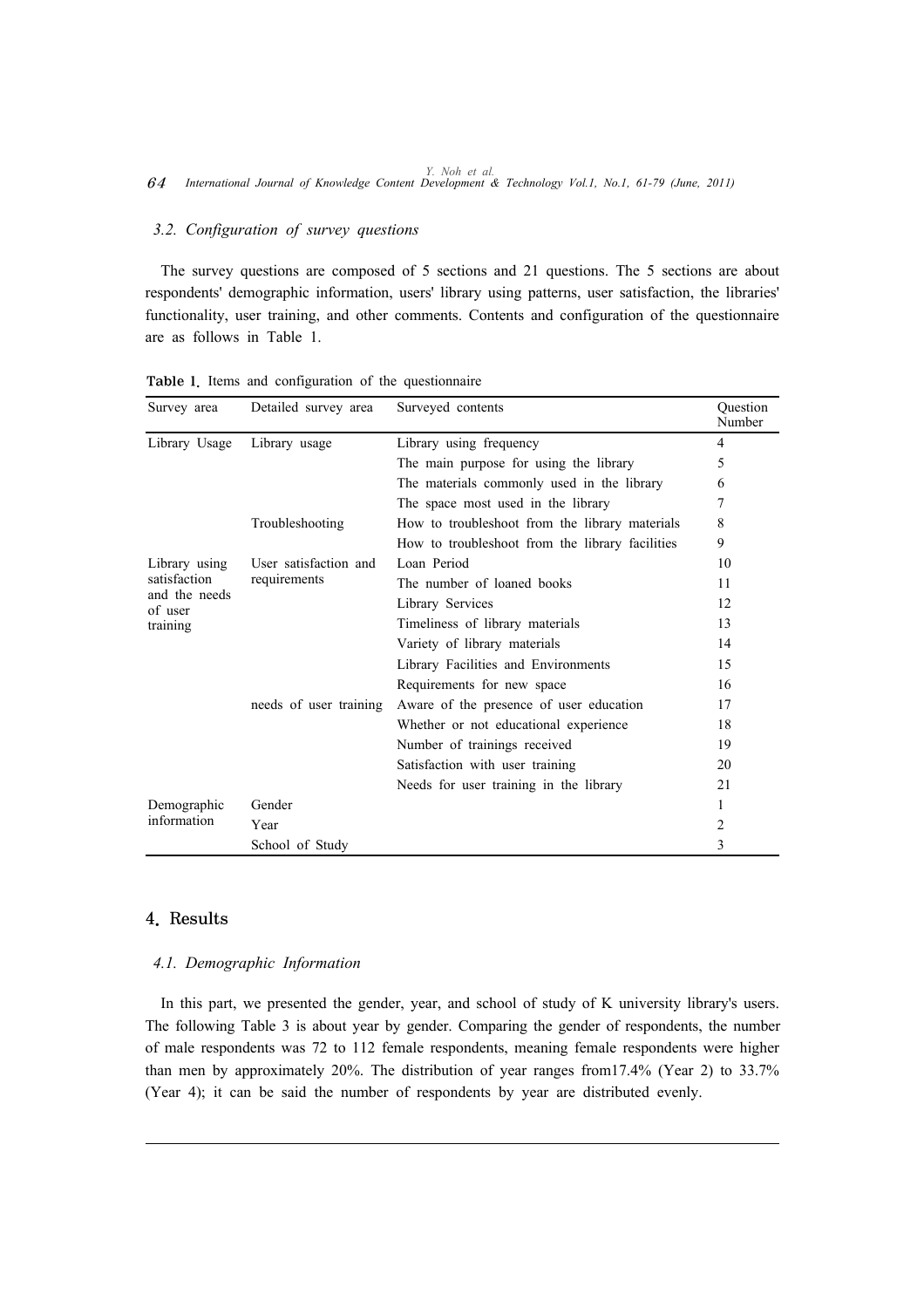# *3.2. Configuration of survey questions*

The survey questions are composed of 5 sections and 21 questions. The 5 sections are about respondents' demographic information, users' library using patterns, user satisfaction, the libraries' functionality, user training, and other comments. Contents and configuration of the questionnaire are as follows in Table 1.

| Survey area              | Detailed survey area   | Surveyed contents                               | Question<br>Number |  |  |
|--------------------------|------------------------|-------------------------------------------------|--------------------|--|--|
| Library Usage            | Library usage          | Library using frequency                         | 4                  |  |  |
|                          |                        | The main purpose for using the library          | 5                  |  |  |
|                          |                        | The materials commonly used in the library      | 6                  |  |  |
|                          |                        | The space most used in the library              | 7                  |  |  |
|                          | Troubleshooting        | How to troubleshoot from the library materials  | 8                  |  |  |
|                          |                        | How to troubleshoot from the library facilities | 9                  |  |  |
| Library using            | User satisfaction and  | Loan Period                                     | 10                 |  |  |
| satisfaction             | requirements           | The number of loaned books                      | 11                 |  |  |
| and the needs<br>of user |                        | Library Services                                | 12                 |  |  |
| training                 |                        | Timeliness of library materials                 | 13                 |  |  |
|                          |                        | Variety of library materials                    | 14                 |  |  |
|                          |                        | Library Facilities and Environments             | 15                 |  |  |
|                          |                        | Requirements for new space                      | 16                 |  |  |
|                          | needs of user training | Aware of the presence of user education         | 17                 |  |  |
|                          |                        | Whether or not educational experience           | 18                 |  |  |
|                          |                        | Number of trainings received                    | 19                 |  |  |
|                          |                        | Satisfaction with user training                 | 20                 |  |  |
|                          |                        | Needs for user training in the library          | 21                 |  |  |
| Demographic              | Gender                 |                                                 | 1                  |  |  |
| information              | Year                   |                                                 |                    |  |  |
|                          | School of Study        |                                                 | 3                  |  |  |

Table 1. Items and configuration of the questionnaire

# 4. Results

# *4.1. Demographic Information*

In this part, we presented the gender, year, and school of study of K university library's users. The following Table 3 is about year by gender. Comparing the gender of respondents, the number of male respondents was 72 to 112 female respondents, meaning female respondents were higher than men by approximately 20%. The distribution of year ranges from17.4% (Year 2) to 33.7% (Year 4); it can be said the number of respondents by year are distributed evenly.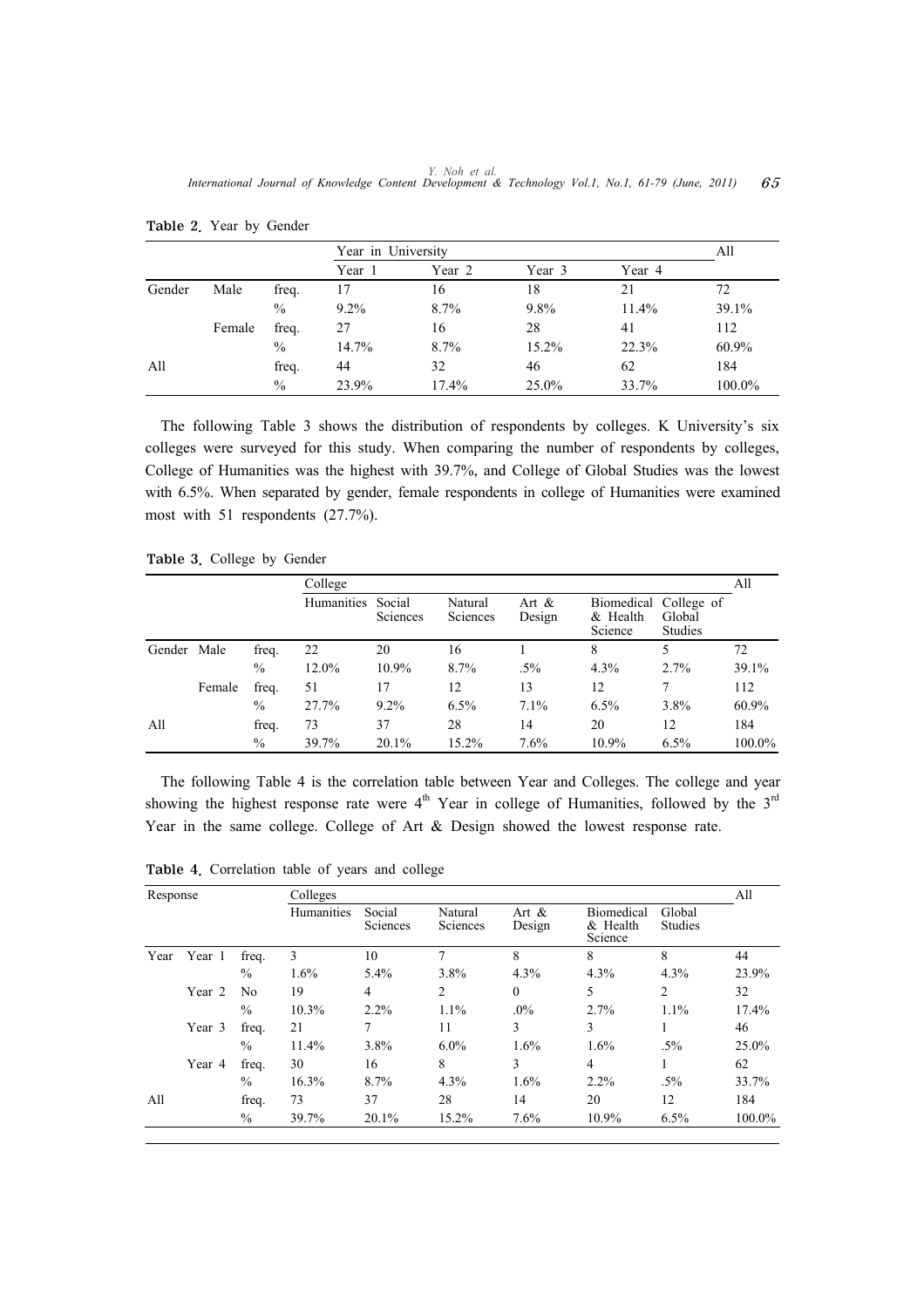|        |        |               | Year in University |        |          |        | All    |
|--------|--------|---------------|--------------------|--------|----------|--------|--------|
|        |        |               | Year 1             | Year 2 | Year 3   | Year 4 |        |
| Gender | Male   | freq.         | 17                 | 16     | 18       | 21     | 72     |
|        |        | $\%$          | $9.2\%$            | 8.7%   | 9.8%     | 11.4%  | 39.1%  |
|        | Female | freq.         | 27                 | 16     | 28       | 41     | 112    |
|        |        | $\frac{0}{0}$ | 14.7%              | 8.7%   | $15.2\%$ | 22.3%  | 60.9%  |
| All    |        | freq.         | 44                 | 32     | 46       | 62     | 184    |
|        |        | $\%$          | 23.9%              | 17.4%  | 25.0%    | 33.7%  | 100.0% |

Table 2. Year by Gender

The following Table 3 shows the distribution of respondents by colleges. K University's six colleges were surveyed for this study. When comparing the number of respondents by colleges, College of Humanities was the highest with 39.7%, and College of Global Studies was the lowest with 6.5%. When separated by gender, female respondents in college of Humanities were examined most with 51 respondents (27.7%).

Table 3. College by Gender

|        |        |               | College    |                           |                            |                    |                     |                                            | All    |
|--------|--------|---------------|------------|---------------------------|----------------------------|--------------------|---------------------|--------------------------------------------|--------|
|        |        |               | Humanities | Social<br><b>Sciences</b> | Natural<br><b>Sciences</b> | Art $\&$<br>Design | & Health<br>Science | Biomedical College of<br>Global<br>Studies |        |
| Gender | Male   | freq.         | 22         | 20                        | 16                         |                    | 8                   | 5                                          | 72     |
|        |        | $\frac{0}{0}$ | 12.0%      | 10.9%                     | 8.7%                       | $.5\%$             | 4.3%                | $2.7\%$                                    | 39.1%  |
|        | Female | freq.         | 51         | 17                        | 12                         | 13                 | 12                  |                                            | 112    |
|        |        | $\%$          | 27.7%      | $9.2\%$                   | 6.5%                       | 7.1%               | 6.5%                | 3.8%                                       | 60.9%  |
| All    |        | freq.         | 73         | 37                        | 28                         | 14                 | 20                  | 12                                         | 184    |
|        |        | $\%$          | 39.7%      | 20.1%                     | 15.2%                      | 7.6%               | 10.9%               | 6.5%                                       | 100.0% |

The following Table 4 is the correlation table between Year and Colleges. The college and year showing the highest response rate were  $4<sup>th</sup>$  Year in college of Humanities, followed by the  $3<sup>rd</sup>$ Year in the same college. College of Art & Design showed the lowest response rate.

|      | Response |               | Colleges   |                    |                     |                    |                                            |                   |        |  |
|------|----------|---------------|------------|--------------------|---------------------|--------------------|--------------------------------------------|-------------------|--------|--|
|      |          |               | Humanities | Social<br>Sciences | Natural<br>Sciences | Art $\&$<br>Design | <b>Biomedical</b><br>$&$ Health<br>Science | Global<br>Studies |        |  |
| Year | Year 1   | freq.         | 3          | 10                 |                     | 8                  | 8                                          | 8                 | 44     |  |
|      |          | $\%$          | $1.6\%$    | 5.4%               | 3.8%                | 4.3%               | 4.3%                                       | 4.3%              | 23.9%  |  |
|      | Year 2   | No            | 19         | 4                  | 2                   | $\theta$           | 5                                          | 2                 | 32     |  |
|      |          | $\%$          | 10.3%      | $2.2\%$            | 1.1%                | $.0\%$             | 2.7%                                       | 1.1%              | 17.4%  |  |
|      | Year 3   | freq.         | 21         | 7                  | 11                  | 3                  | 3                                          |                   | 46     |  |
|      |          | $\%$          | 11.4%      | 3.8%               | $6.0\%$             | 1.6%               | 1.6%                                       | $.5\%$            | 25.0%  |  |
|      | Year 4   | freq.         | 30         | 16                 | 8                   | 3                  | $\overline{4}$                             |                   | 62     |  |
|      |          | $\frac{0}{0}$ | 16.3%      | 8.7%               | 4.3%                | 1.6%               | $2.2\%$                                    | $.5\%$            | 33.7%  |  |
| All  |          | freq.         | 73         | 37                 | 28                  | 14                 | 20                                         | 12                | 184    |  |
|      |          | $\%$          | 39.7%      | 20.1%              | 15.2%               | 7.6%               | 10.9%                                      | 6.5%              | 100.0% |  |

Table 4. Correlation table of years and college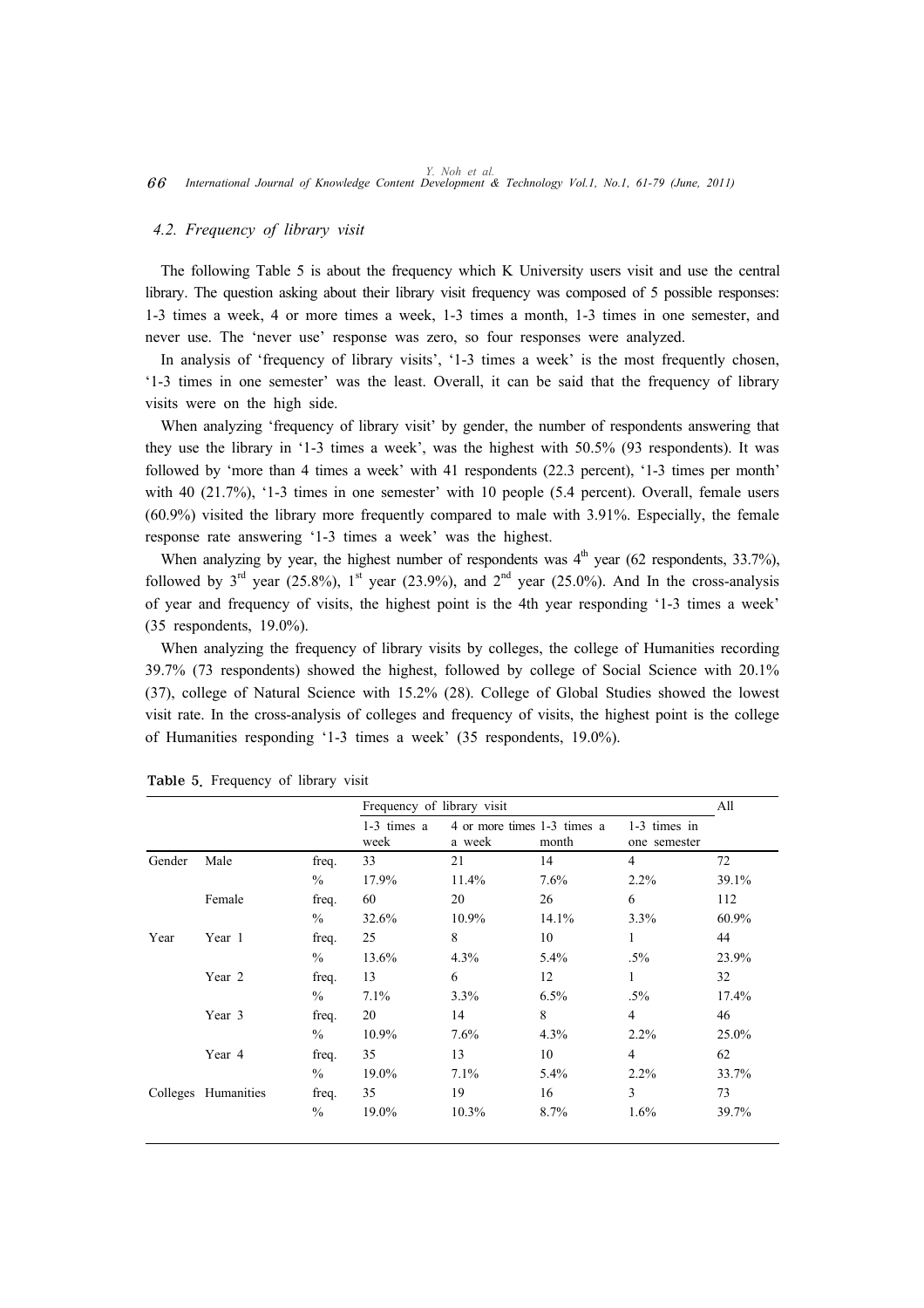#### *4.2. Frequency of library visit*

The following Table 5 is about the frequency which K University users visit and use the central library. The question asking about their library visit frequency was composed of 5 possible responses: 1-3 times a week, 4 or more times a week, 1-3 times a month, 1-3 times in one semester, and never use. The 'never use' response was zero, so four responses were analyzed.

In analysis of 'frequency of library visits', '1-3 times a week' is the most frequently chosen, '1-3 times in one semester' was the least. Overall, it can be said that the frequency of library visits were on the high side.

When analyzing 'frequency of library visit' by gender, the number of respondents answering that they use the library in '1-3 times a week', was the highest with 50.5% (93 respondents). It was followed by 'more than 4 times a week' with 41 respondents (22.3 percent), '1-3 times per month' with 40 (21.7%), '1-3 times in one semester' with 10 people (5.4 percent). Overall, female users (60.9%) visited the library more frequently compared to male with 3.91%. Especially, the female response rate answering '1-3 times a week' was the highest.

When analyzing by year, the highest number of respondents was  $4<sup>th</sup>$  year (62 respondents, 33.7%), followed by  $3<sup>rd</sup>$  year (25.8%),  $1<sup>st</sup>$  year (23.9%), and  $2<sup>nd</sup>$  year (25.0%). And In the cross-analysis of year and frequency of visits, the highest point is the 4th year responding '1-3 times a week' (35 respondents, 19.0%).

When analyzing the frequency of library visits by colleges, the college of Humanities recording 39.7% (73 respondents) showed the highest, followed by college of Social Science with 20.1% (37), college of Natural Science with 15.2% (28). College of Global Studies showed the lowest visit rate. In the cross-analysis of colleges and frequency of visits, the highest point is the college of Humanities responding '1-3 times a week' (35 respondents, 19.0%).

|        |                     |               | Frequency of library visit |                                       |       |                              | All   |
|--------|---------------------|---------------|----------------------------|---------------------------------------|-------|------------------------------|-------|
|        |                     |               | $1-3$ times a<br>week      | 4 or more times 1-3 times a<br>a week | month | 1-3 times in<br>one semester |       |
| Gender | Male                | freq.         | 33                         | 21                                    | 14    | $\overline{4}$               | 72    |
|        |                     | $\frac{0}{0}$ | 17.9%                      | 11.4%                                 | 7.6%  | 2.2%                         | 39.1% |
|        | Female              | freq.         | 60                         | 20                                    | 26    | 6                            | 112   |
|        |                     | $\frac{0}{0}$ | 32.6%                      | 10.9%                                 | 14.1% | 3.3%                         | 60.9% |
| Year   | Year 1              | freq.         | 25                         | 8                                     | 10    | 1                            | 44    |
|        |                     | $\frac{0}{0}$ | 13.6%                      | 4.3%                                  | 5.4%  | $.5\%$                       | 23.9% |
|        | Year 2              | freq.         | 13                         | 6                                     | 12    | $\mathbf{1}$                 | 32    |
|        |                     | $\%$          | 7.1%                       | 3.3%                                  | 6.5%  | $.5\%$                       | 17.4% |
|        | Year 3              | freq.         | 20                         | 14                                    | 8     | $\overline{4}$               | 46    |
|        |                     | $\%$          | 10.9%                      | 7.6%                                  | 4.3%  | $2.2\%$                      | 25.0% |
|        | Year 4              | freq.         | 35                         | 13                                    | 10    | $\overline{4}$               | 62    |
|        |                     | $\frac{0}{0}$ | 19.0%                      | 7.1%                                  | 5.4%  | $2.2\%$                      | 33.7% |
|        | Colleges Humanities | freq.         | 35                         | 19                                    | 16    | 3                            | 73    |
|        |                     | $\frac{0}{0}$ | 19.0%                      | 10.3%                                 | 8.7%  | 1.6%                         | 39.7% |

Table 5. Frequency of library visit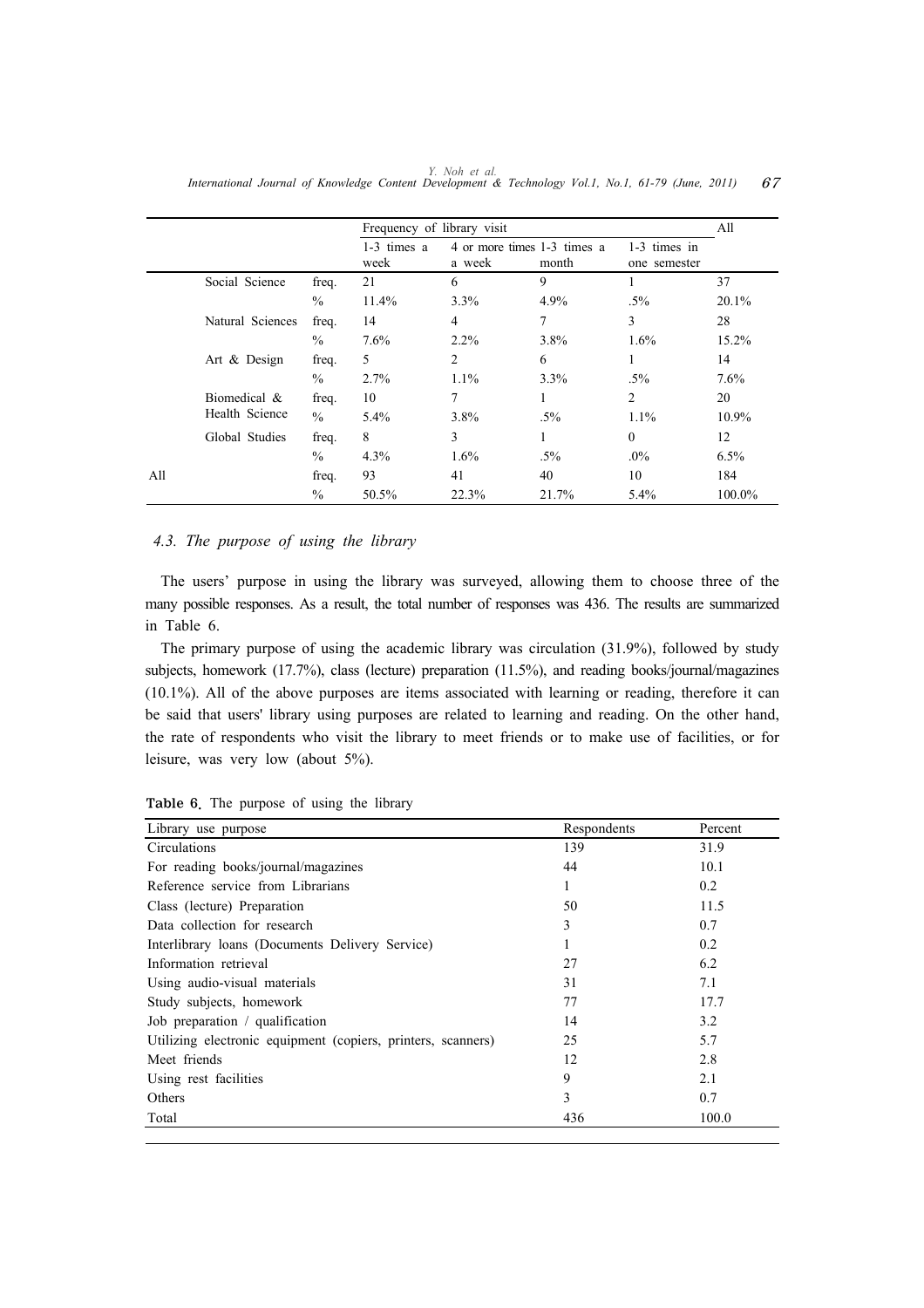|     |                  |       | Frequency of library visit |                |                                      |                              | All     |
|-----|------------------|-------|----------------------------|----------------|--------------------------------------|------------------------------|---------|
|     |                  |       | $1-3$ times a<br>week      | a week         | 4 or more times 1-3 times a<br>month | 1-3 times in<br>one semester |         |
|     | Social Science   | freq. | 21                         | 6              | 9                                    |                              | 37      |
|     |                  | $\%$  | 11.4%                      | $3.3\%$        | 4.9%                                 | $.5\%$                       | 20.1%   |
|     | Natural Sciences | freq. | 14                         | $\overline{4}$ | 7                                    | 3                            | 28      |
|     |                  | $\%$  | 7.6%                       | $2.2\%$        | 3.8%                                 | 1.6%                         | 15.2%   |
|     | Art & Design     | freq. | 5                          | $\overline{2}$ | 6                                    | 1                            | 14      |
|     |                  | $\%$  | 2.7%                       | $1.1\%$        | $3.3\%$                              | $.5\%$                       | 7.6%    |
|     | Biomedical &     | freq. | 10                         | 7              | 1                                    | 2                            | 20      |
|     | Health Science   | $\%$  | 5.4%                       | 3.8%           | $.5\%$                               | 1.1%                         | 10.9%   |
|     | Global Studies   | freq. | 8                          | 3              | 1                                    | $\mathbf{0}$                 | 12      |
|     |                  | $\%$  | 4.3%                       | 1.6%           | $.5\%$                               | $.0\%$                       | $6.5\%$ |
| All |                  | freq. | 93                         | 41             | 40                                   | 10                           | 184     |
|     |                  | $\%$  | 50.5%                      | 22.3%          | 21.7%                                | 5.4%                         | 100.0%  |

*Y. Noh et al. International Journal of Knowledge Content Development & Technology Vol.1, No.1, 61-79 (June, 2011)* 67

# *4.3. The purpose of using the library*

The users' purpose in using the library was surveyed, allowing them to choose three of the many possible responses. As a result, the total number of responses was 436. The results are summarized in Table 6.

The primary purpose of using the academic library was circulation (31.9%), followed by study subjects, homework (17.7%), class (lecture) preparation (11.5%), and reading books/journal/magazines (10.1%). All of the above purposes are items associated with learning or reading, therefore it can be said that users' library using purposes are related to learning and reading. On the other hand, the rate of respondents who visit the library to meet friends or to make use of facilities, or for leisure, was very low (about 5%).

| Library use purpose                                          | Respondents | Percent |
|--------------------------------------------------------------|-------------|---------|
| Circulations                                                 | 139         | 31.9    |
| For reading books/journal/magazines                          | 44          | 10.1    |
| Reference service from Librarians                            | 1           | 0.2     |
| Class (lecture) Preparation                                  | 50          | 11.5    |
| Data collection for research                                 | 3           | 0.7     |
| Interlibrary loans (Documents Delivery Service)              | 1           | 0.2     |
| Information retrieval                                        | 27          | 6.2     |
| Using audio-visual materials                                 | 31          | 7.1     |
| Study subjects, homework                                     | 77          | 17.7    |
| Job preparation / qualification                              | 14          | 3.2     |
| Utilizing electronic equipment (copiers, printers, scanners) | 25          | 5.7     |
| Meet friends                                                 | 12          | 2.8     |
| Using rest facilities                                        | 9           | 2.1     |
| Others                                                       | 3           | 0.7     |
| Total                                                        | 436         | 100.0   |

Table 6. The purpose of using the library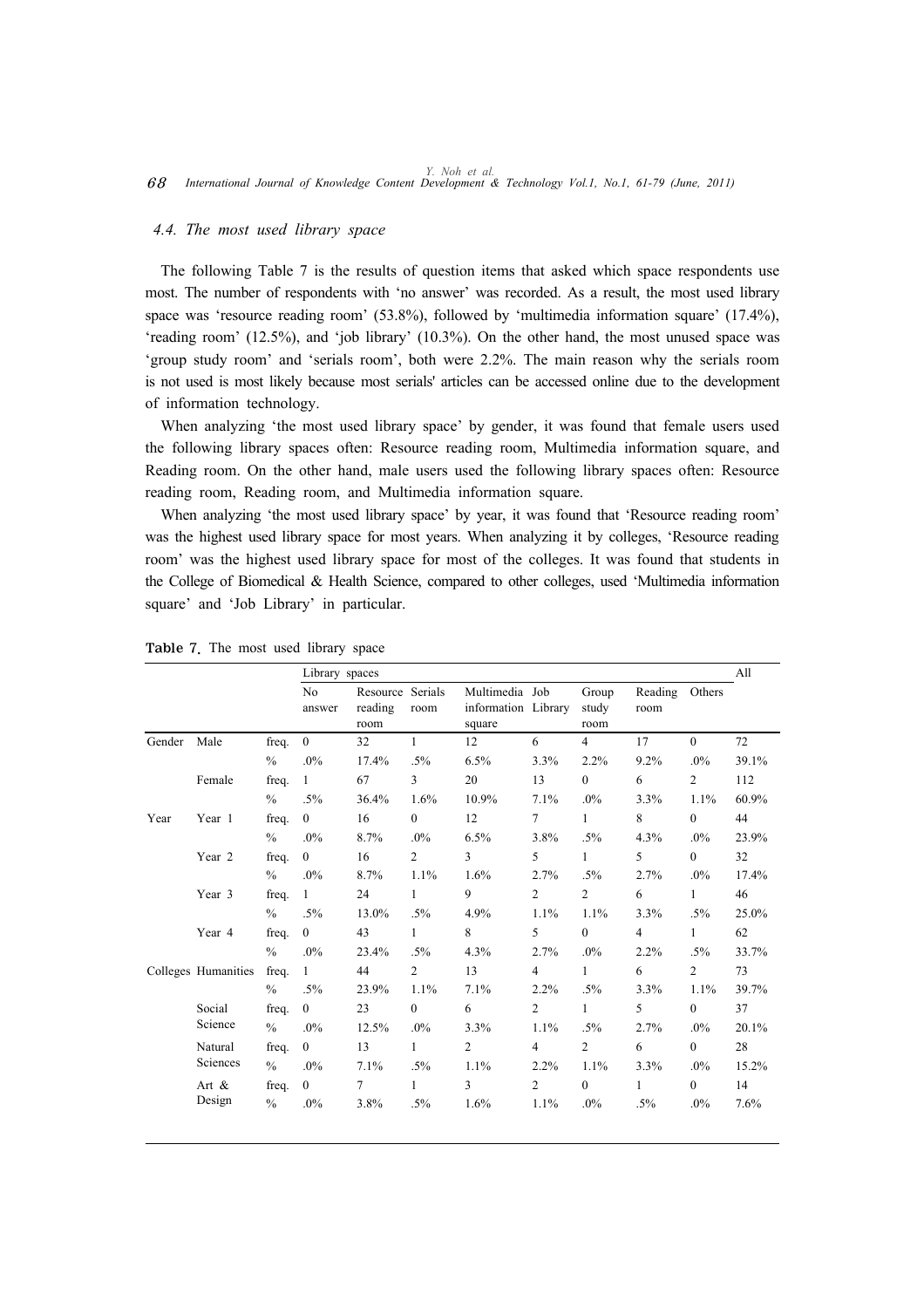#### *4.4. The most used library space*

The following Table 7 is the results of question items that asked which space respondents use most. The number of respondents with 'no answer' was recorded. As a result, the most used library space was 'resource reading room' (53.8%), followed by 'multimedia information square' (17.4%), 'reading room' (12.5%), and 'job library' (10.3%). On the other hand, the most unused space was 'group study room' and 'serials room', both were 2.2%. The main reason why the serials room is not used is most likely because most serials' articles can be accessed online due to the development of information technology.

When analyzing 'the most used library space' by gender, it was found that female users used the following library spaces often: Resource reading room, Multimedia information square, and Reading room. On the other hand, male users used the following library spaces often: Resource reading room, Reading room, and Multimedia information square.

When analyzing 'the most used library space' by year, it was found that 'Resource reading room' was the highest used library space for most years. When analyzing it by colleges, 'Resource reading room' was the highest used library space for most of the colleges. It was found that students in the College of Biomedical & Health Science, compared to other colleges, used 'Multimedia information square' and 'Job Library' in particular.

|        |                     |               | Library spaces           |                                     |                |                                                 |                |                        |                 |                | All   |
|--------|---------------------|---------------|--------------------------|-------------------------------------|----------------|-------------------------------------------------|----------------|------------------------|-----------------|----------------|-------|
|        |                     |               | N <sub>o</sub><br>answer | Resource Serials<br>reading<br>room | room           | Multimedia Job<br>information Library<br>square |                | Group<br>study<br>room | Reading<br>room | Others         |       |
| Gender | Male                | freq.         | $\theta$                 | 32                                  | $\mathbf{1}$   | 12                                              | 6              | $\overline{4}$         | 17              | $\theta$       | 72    |
|        |                     | $\frac{0}{0}$ | .0%                      | 17.4%                               | $.5\%$         | 6.5%                                            | 3.3%           | 2.2%                   | 9.2%            | .0%            | 39.1% |
|        | Female              | freq.         | $\mathbf{1}$             | 67                                  | 3              | 20                                              | 13             | $\overline{0}$         | 6               | $\overline{2}$ | 112   |
|        |                     | $\%$          | $.5\%$                   | 36.4%                               | 1.6%           | 10.9%                                           | 7.1%           | $.0\%$                 | 3.3%            | 1.1%           | 60.9% |
| Year   | Year 1              | freq.         | $\overline{0}$           | 16                                  | $\overline{0}$ | 12                                              | $\tau$         | $\mathbf{1}$           | 8               | $\overline{0}$ | 44    |
|        |                     | $\frac{0}{0}$ | $.0\%$                   | 8.7%                                | $.0\%$         | 6.5%                                            | 3.8%           | $.5\%$                 | 4.3%            | $.0\%$         | 23.9% |
|        | Year 2              | freq.         | $\overline{0}$           | 16                                  | $\overline{2}$ | $\overline{3}$                                  | 5              | $\mathbf{1}$           | 5               | $\overline{0}$ | 32    |
|        |                     | $\frac{0}{0}$ | $.0\%$                   | 8.7%                                | 1.1%           | 1.6%                                            | 2.7%           | $.5\%$                 | 2.7%            | $.0\%$         | 17.4% |
|        | Year 3              | freq.         | $\mathbf{1}$             | 24                                  | $\mathbf{1}$   | 9                                               | $\overline{2}$ | $\overline{2}$         | 6               | $\mathbf{1}$   | 46    |
|        |                     | $\%$          | $.5\%$                   | 13.0%                               | $.5\%$         | 4.9%                                            | 1.1%           | 1.1%                   | 3.3%            | $.5\%$         | 25.0% |
|        | Year 4              | freq.         | $\overline{0}$           | 43                                  | $\mathbf{1}$   | 8                                               | 5              | $\overline{0}$         | $\overline{4}$  | $\mathbf{1}$   | 62    |
|        |                     | $\%$          | $.0\%$                   | 23.4%                               | $.5\%$         | 4.3%                                            | 2.7%           | $.0\%$                 | 2.2%            | $.5\%$         | 33.7% |
|        | Colleges Humanities | freq.         | $\mathbf{1}$             | 44                                  | $\overline{2}$ | 13                                              | $\overline{4}$ | $\mathbf{1}$           | 6               | $\overline{2}$ | 73    |
|        |                     | $\frac{0}{0}$ | $.5\%$                   | 23.9%                               | 1.1%           | 7.1%                                            | 2.2%           | $.5\%$                 | 3.3%            | 1.1%           | 39.7% |
|        | Social              | freq.         | $\overline{0}$           | 23                                  | $\mathbf{0}$   | 6                                               | $\overline{2}$ | $\mathbf{1}$           | 5               | $\overline{0}$ | 37    |
|        | Science             | $\%$          | .0%                      | 12.5%                               | $.0\%$         | 3.3%                                            | 1.1%           | $.5\%$                 | 2.7%            | $.0\%$         | 20.1% |
|        | Natural             | freq.         | $\overline{0}$           | 13                                  | $\mathbf{1}$   | $\overline{2}$                                  | $\overline{4}$ | $\overline{2}$         | 6               | $\theta$       | 28    |
|        | Sciences            | $\%$          | .0%                      | 7.1%                                | $.5\%$         | 1.1%                                            | 2.2%           | 1.1%                   | 3.3%            | $.0\%$         | 15.2% |
|        | Art $\&$            | freq.         | $\overline{0}$           | $\tau$                              | $\mathbf{1}$   | $\overline{3}$                                  | $\overline{c}$ | $\overline{0}$         | $\mathbf{1}$    | $\overline{0}$ | 14    |
|        | Design              | $\frac{0}{0}$ | .0%                      | 3.8%                                | $.5\%$         | 1.6%                                            | 1.1%           | $.0\%$                 | $.5\%$          | $.0\%$         | 7.6%  |

| Table 7. The most used library space |  |  |  |  |  |
|--------------------------------------|--|--|--|--|--|
|--------------------------------------|--|--|--|--|--|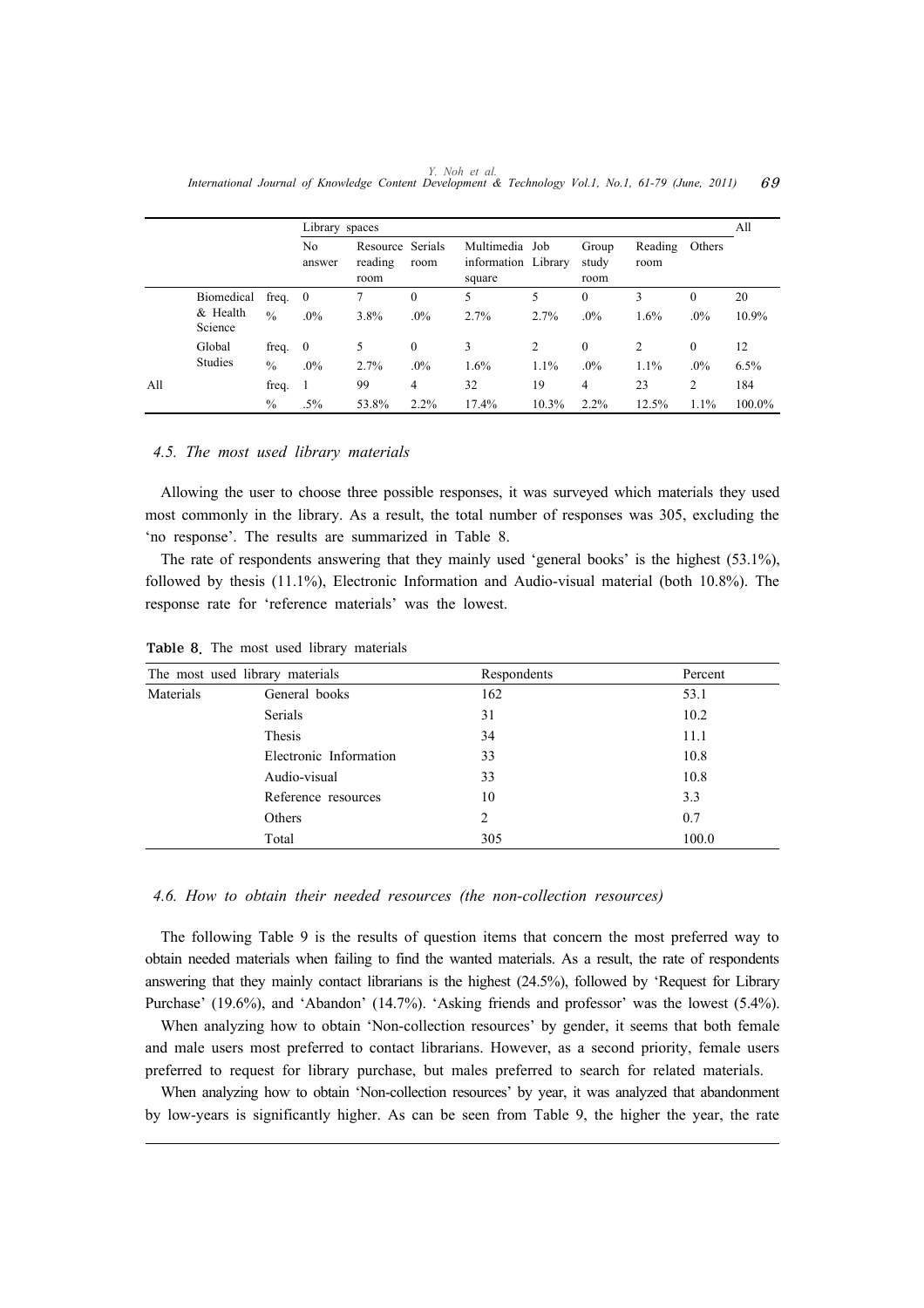|     |                                   |                            | Library spaces |                                     |                         |                                                 |              |                           |                 |                        | All           |
|-----|-----------------------------------|----------------------------|----------------|-------------------------------------|-------------------------|-------------------------------------------------|--------------|---------------------------|-----------------|------------------------|---------------|
|     |                                   |                            | No<br>answer   | Resource Serials<br>reading<br>room | room                    | Multimedia Job<br>information Library<br>square |              | Group<br>study<br>room    | Reading<br>room | Others                 |               |
|     | Biomedical<br>& Health<br>Science | freq. 0<br>$\frac{0}{0}$   | $.0\%$         | 3.8%                                | $\boldsymbol{0}$<br>.0% | 5<br>2.7%                                       | 5<br>2.7%    | $\theta$<br>$.0\%$        | 3<br>1.6%       | $\Omega$<br>$.0\%$     | 20<br>10.9%   |
|     | Global<br>Studies                 | freq. $0$<br>$\frac{0}{0}$ | .0%            | 5<br>2.7%                           | $\mathbf{0}$<br>.0%     | 3<br>1.6%                                       | 2<br>$1.1\%$ | $\theta$<br>$.0\%$        | 2<br>1.1%       | $\theta$<br>$.0\%$     | 12<br>6.5%    |
| All |                                   | freq.<br>$\%$              | $.5\%$         | 99<br>53.8%                         | $\overline{4}$<br>2.2%  | 32<br>17.4%                                     | 19<br>10.3%  | $\overline{4}$<br>$2.2\%$ | 23<br>12.5%     | $\overline{c}$<br>1.1% | 184<br>100.0% |

*Y. Noh et al. International Journal of Knowledge Content Development & Technology Vol.1, No.1, 61-79 (June, 2011)* 69

#### *4.5. The most used library materials*

Allowing the user to choose three possible responses, it was surveyed which materials they used most commonly in the library. As a result, the total number of responses was 305, excluding the 'no response'. The results are summarized in Table 8.

The rate of respondents answering that they mainly used 'general books' is the highest (53.1%), followed by thesis (11.1%), Electronic Information and Audio-visual material (both 10.8%). The response rate for 'reference materials' was the lowest.

|           | The most used library materials | Respondents | Percent |
|-----------|---------------------------------|-------------|---------|
| Materials | General books                   | 162         | 53.1    |
|           | Serials                         | 31          | 10.2    |
|           | Thesis                          | 34          | 11.1    |
|           | Electronic Information          | 33          | 10.8    |
|           | Audio-visual                    | 33          | 10.8    |
|           | Reference resources             | 10          | 3.3     |
| Others    |                                 | 2           | 0.7     |
|           | Total                           | 305         | 100.0   |

Table 8. The most used library materials

#### *4.6. How to obtain their needed resources (the non-collection resources)*

The following Table 9 is the results of question items that concern the most preferred way to obtain needed materials when failing to find the wanted materials. As a result, the rate of respondents answering that they mainly contact librarians is the highest (24.5%), followed by 'Request for Library Purchase' (19.6%), and 'Abandon' (14.7%). 'Asking friends and professor' was the lowest (5.4%).

When analyzing how to obtain 'Non-collection resources' by gender, it seems that both female and male users most preferred to contact librarians. However, as a second priority, female users preferred to request for library purchase, but males preferred to search for related materials.

When analyzing how to obtain 'Non-collection resources' by year, it was analyzed that abandonment by low-years is significantly higher. As can be seen from Table 9, the higher the year, the rate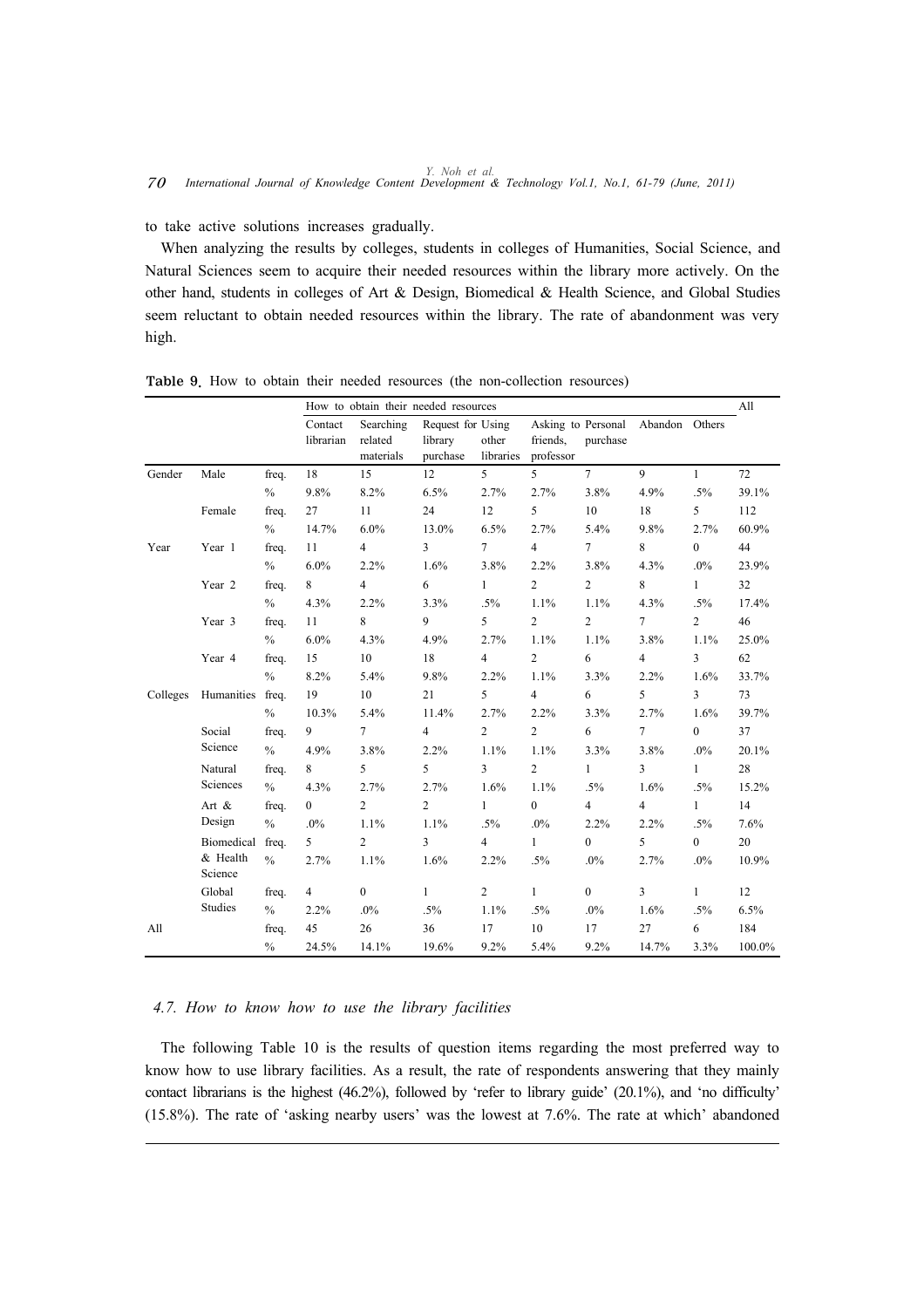to take active solutions increases gradually.

When analyzing the results by colleges, students in colleges of Humanities, Social Science, and Natural Sciences seem to acquire their needed resources within the library more actively. On the other hand, students in colleges of Art & Design, Biomedical & Health Science, and Global Studies seem reluctant to obtain needed resources within the library. The rate of abandonment was very high.

|          |                     |               |                      | How to obtain their needed resources |                                          |                    |                                             |                  |                |                         | All    |
|----------|---------------------|---------------|----------------------|--------------------------------------|------------------------------------------|--------------------|---------------------------------------------|------------------|----------------|-------------------------|--------|
|          |                     |               | Contact<br>librarian | Searching<br>related<br>materials    | Request for Using<br>library<br>purchase | other<br>libraries | Asking to Personal<br>friends.<br>professor | purchase         | Abandon Others |                         |        |
| Gender   | Male                | freq.         | 18                   | 15                                   | 12                                       | 5                  | 5                                           | 7 <sup>7</sup>   | 9              | $\mathbf{1}$            | 72     |
|          |                     | $\%$          | 9.8%                 | 8.2%                                 | 6.5%                                     | 2.7%               | 2.7%                                        | 3.8%             | 4.9%           | $.5\%$                  | 39.1%  |
|          | Female              | freq.         | 27                   | 11                                   | 24                                       | 12                 | 5                                           | 10               | 18             | 5                       | 112    |
|          |                     | $\%$          | 14.7%                | 6.0%                                 | 13.0%                                    | 6.5%               | 2.7%                                        | 5.4%             | 9.8%           | 2.7%                    | 60.9%  |
| Year     | Year 1              | freq.         | 11                   | $\overline{4}$                       | $\overline{3}$                           | $\tau$             | $\overline{4}$                              | $\tau$           | 8              | $\mathbf{0}$            | 44     |
|          |                     | $\%$          | 6.0%                 | 2.2%                                 | 1.6%                                     | 3.8%               | 2.2%                                        | 3.8%             | 4.3%           | $.0\%$                  | 23.9%  |
|          | Year 2              | freq.         | 8                    | $\overline{4}$                       | 6                                        | $\mathbf{1}$       | $\overline{2}$                              | $\overline{2}$   | 8              | $\mathbf{1}$            | 32     |
|          |                     | $\%$          | 4.3%                 | 2.2%                                 | 3.3%                                     | $.5\%$             | 1.1%                                        | 1.1%             | 4.3%           | $.5\%$                  | 17.4%  |
|          | Year 3              | freq.         | 11                   | 8                                    | 9                                        | 5                  | $\overline{c}$                              | $\overline{c}$   | $\tau$         | $\overline{c}$          | 46     |
|          |                     | $\frac{0}{0}$ | 6.0%                 | 4.3%                                 | 4.9%                                     | 2.7%               | 1.1%                                        | 1.1%             | 3.8%           | 1.1%                    | 25.0%  |
|          | Year 4              | freq.         | 15                   | 10                                   | 18                                       | $\overline{4}$     | $\overline{c}$                              | 6                | $\overline{4}$ | 3                       | 62     |
|          |                     | $\frac{0}{0}$ | 8.2%                 | 5.4%                                 | 9.8%                                     | 2.2%               | 1.1%                                        | 3.3%             | 2.2%           | 1.6%                    | 33.7%  |
| Colleges | Humanities          | freq.         | 19                   | 10                                   | 21                                       | 5                  | $\overline{4}$                              | 6                | 5              | $\overline{\mathbf{3}}$ | 73     |
|          |                     | $\%$          | 10.3%                | 5.4%                                 | 11.4%                                    | 2.7%               | 2.2%                                        | 3.3%             | 2.7%           | 1.6%                    | 39.7%  |
|          | Social              | freq.         | 9                    | $\tau$                               | $\overline{4}$                           | $\overline{c}$     | $\overline{2}$                              | 6                | $\tau$         | $\overline{0}$          | 37     |
|          | Science             | $\%$          | 4.9%                 | 3.8%                                 | 2.2%                                     | 1.1%               | 1.1%                                        | 3.3%             | 3.8%           | $.0\%$                  | 20.1%  |
|          | Natural             | freq.         | 8                    | 5                                    | 5                                        | $\overline{3}$     | $\overline{2}$                              | $\mathbf{1}$     | $\overline{3}$ | $\mathbf{1}$            | 28     |
|          | Sciences            | $\frac{0}{0}$ | 4.3%                 | 2.7%                                 | 2.7%                                     | 1.6%               | 1.1%                                        | $.5\%$           | 1.6%           | $.5\%$                  | 15.2%  |
|          | Art $\&$            | freq.         | $\overline{0}$       | $\overline{c}$                       | $\overline{c}$                           | $\mathbf{1}$       | $\mathbf{0}$                                | $\overline{4}$   | 4              | $\mathbf{1}$            | 14     |
|          | Design              | $\%$          | $.0\%$               | 1.1%                                 | 1.1%                                     | $.5\%$             | $.0\%$                                      | 2.2%             | 2.2%           | $.5\%$                  | 7.6%   |
|          | Biomedical          | freq.         | 5                    | $\overline{2}$                       | 3                                        | $\overline{4}$     | 1                                           | $\overline{0}$   | 5              | $\overline{0}$          | 20     |
|          | & Health<br>Science | $\frac{0}{0}$ | 2.7%                 | 1.1%                                 | 1.6%                                     | 2.2%               | $.5\%$                                      | $.0\%$           | 2.7%           | $.0\%$                  | 10.9%  |
|          | Global              | freq.         | $\overline{4}$       | $\overline{0}$                       | $\mathbf{1}$                             | $\overline{c}$     | $\mathbf{1}$                                | $\boldsymbol{0}$ | $\mathfrak{Z}$ | $\mathbf{1}$            | 12     |
|          | Studies             | $\%$          | 2.2%                 | $.0\%$                               | $.5\%$                                   | 1.1%               | $.5\%$                                      | $.0\%$           | 1.6%           | $.5\%$                  | 6.5%   |
| All      |                     | freq.         | 45                   | 26                                   | 36                                       | 17                 | 10                                          | 17               | 27             | 6                       | 184    |
|          |                     | $\frac{0}{0}$ | 24.5%                | 14.1%                                | 19.6%                                    | 9.2%               | 5.4%                                        | 9.2%             | 14.7%          | 3.3%                    | 100.0% |

Table 9. How to obtain their needed resources (the non-collection resources)

#### *4.7. How to know how to use the library facilities*

The following Table 10 is the results of question items regarding the most preferred way to know how to use library facilities. As a result, the rate of respondents answering that they mainly contact librarians is the highest (46.2%), followed by 'refer to library guide' (20.1%), and 'no difficulty' (15.8%). The rate of 'asking nearby users' was the lowest at 7.6%. The rate at which' abandoned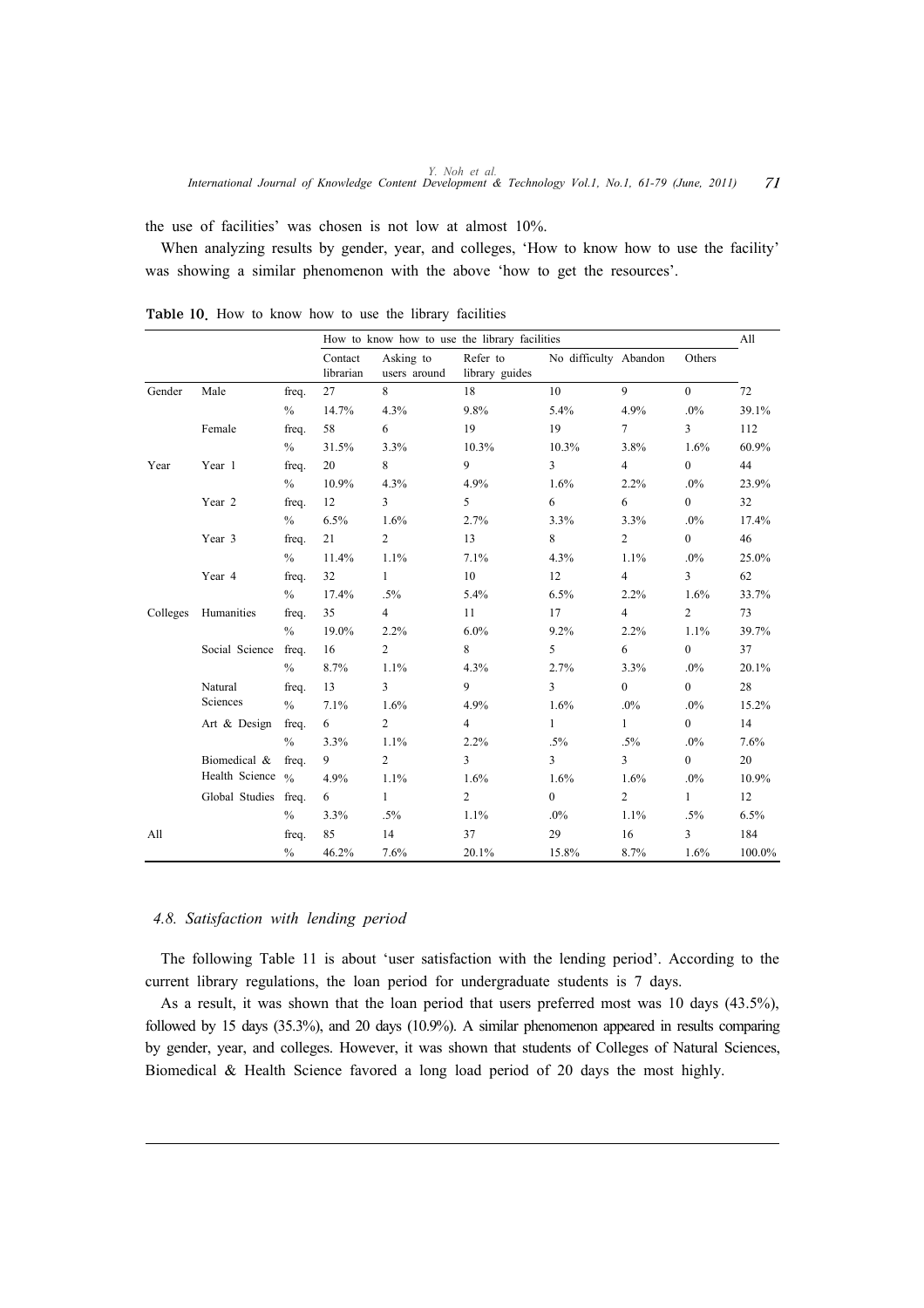the use of facilities' was chosen is not low at almost 10%.

When analyzing results by gender, year, and colleges, 'How to know how to use the facility' was showing a similar phenomenon with the above 'how to get the resources'.

|          |                              |               |                      | How to know how to use the library facilities |                            |                         |                         |                         |        |  |  |
|----------|------------------------------|---------------|----------------------|-----------------------------------------------|----------------------------|-------------------------|-------------------------|-------------------------|--------|--|--|
|          |                              |               | Contact<br>librarian | Asking to<br>users around                     | Refer to<br>library guides | No difficulty Abandon   |                         | Others                  |        |  |  |
| Gender   | Male                         | freq.         | 27                   | 8                                             | 18                         | 10                      | 9                       | $\overline{0}$          | 72     |  |  |
|          |                              | $\%$          | 14.7%                | 4.3%                                          | 9.8%                       | 5.4%                    | 4.9%                    | $.0\%$                  | 39.1%  |  |  |
|          | Female                       | freq.         | 58                   | 6                                             | 19                         | 19                      | $7\phantom{.0}$         | $\overline{\mathbf{3}}$ | 112    |  |  |
|          |                              | $\%$          | 31.5%                | 3.3%                                          | 10.3%                      | 10.3%                   | 3.8%                    | 1.6%                    | 60.9%  |  |  |
| Year     | Year 1                       | freq.         | 20                   | 8                                             | 9                          | $\overline{3}$          | $\overline{4}$          | $\mathbf{0}$            | 44     |  |  |
|          |                              | $\%$          | 10.9%                | 4.3%                                          | 4.9%                       | 1.6%                    | 2.2%                    | $.0\%$                  | 23.9%  |  |  |
|          | Year 2                       | freq.         | 12                   | 3                                             | 5                          | 6                       | 6                       | $\overline{0}$          | 32     |  |  |
|          |                              | $\%$          | 6.5%                 | 1.6%                                          | 2.7%                       | 3.3%                    | 3.3%                    | $.0\%$                  | 17.4%  |  |  |
|          | Year 3                       | freq.         | 21                   | $\overline{c}$                                | 13                         | 8                       | $\overline{c}$          | $\overline{0}$          | 46     |  |  |
|          |                              | $\%$          | 11.4%                | 1.1%                                          | 7.1%                       | 4.3%                    | 1.1%                    | $.0\%$                  | 25.0%  |  |  |
|          | Year 4                       | freq.         | 32                   | $\mathbf{1}$                                  | 10                         | 12                      | $\overline{4}$          | $\overline{3}$          | 62     |  |  |
|          |                              | $\%$          | 17.4%                | $.5\%$                                        | 5.4%                       | 6.5%                    | 2.2%                    | 1.6%                    | 33.7%  |  |  |
| Colleges | Humanities                   | freq.         | 35                   | $\overline{4}$                                | 11                         | 17                      | $\overline{4}$          | $\overline{c}$          | 73     |  |  |
|          |                              | $\%$          | 19.0%                | 2.2%                                          | 6.0%                       | 9.2%                    | 2.2%                    | 1.1%                    | 39.7%  |  |  |
|          | Social Science               | freq.         | 16                   | $\overline{c}$                                | 8                          | 5                       | 6                       | $\boldsymbol{0}$        | 37     |  |  |
|          |                              | $\frac{0}{0}$ | 8.7%                 | 1.1%                                          | 4.3%                       | 2.7%                    | 3.3%                    | $.0\%$                  | 20.1%  |  |  |
|          | Natural                      | freq.         | 13                   | $\overline{\mathbf{3}}$                       | 9                          | $\overline{\mathbf{3}}$ | $\overline{0}$          | $\overline{0}$          | 28     |  |  |
|          | Sciences                     | $\frac{0}{0}$ | 7.1%                 | 1.6%                                          | 4.9%                       | 1.6%                    | $.0\%$                  | $.0\%$                  | 15.2%  |  |  |
|          | Art & Design                 | freq.         | 6                    | $\overline{c}$                                | $\overline{4}$             | $\mathbf{1}$            | $\mathbf{1}$            | $\overline{0}$          | 14     |  |  |
|          |                              | $\frac{0}{0}$ | 3.3%                 | 1.1%                                          | 2.2%                       | $.5\%$                  | $.5\%$                  | $.0\%$                  | 7.6%   |  |  |
|          | Biomedical &                 | freq.         | 9                    | $\overline{c}$                                | 3                          | $\overline{\mathbf{3}}$ | $\overline{\mathbf{3}}$ | $\overline{0}$          | 20     |  |  |
|          | Health Science $\frac{6}{6}$ |               | 4.9%                 | 1.1%                                          | 1.6%                       | 1.6%                    | 1.6%                    | $.0\%$                  | 10.9%  |  |  |
|          | Global Studies               | freq.         | 6                    | $\mathbf{1}$                                  | $\overline{2}$             | $\overline{0}$          | $\overline{c}$          | $\mathbf{1}$            | 12     |  |  |
|          |                              | $\%$          | 3.3%                 | $.5\%$                                        | 1.1%                       | $.0\%$                  | 1.1%                    | $.5\%$                  | 6.5%   |  |  |
| All      |                              | freq.         | 85                   | 14                                            | 37                         | 29                      | 16                      | 3                       | 184    |  |  |
|          |                              | $\frac{0}{0}$ | 46.2%                | 7.6%                                          | 20.1%                      | 15.8%                   | 8.7%                    | 1.6%                    | 100.0% |  |  |

Table 10. How to know how to use the library facilities

#### *4.8. Satisfaction with lending period*

The following Table 11 is about 'user satisfaction with the lending period'. According to the current library regulations, the loan period for undergraduate students is 7 days.

As a result, it was shown that the loan period that users preferred most was 10 days (43.5%), followed by 15 days (35.3%), and 20 days (10.9%). A similar phenomenon appeared in results comparing by gender, year, and colleges. However, it was shown that students of Colleges of Natural Sciences, Biomedical & Health Science favored a long load period of 20 days the most highly.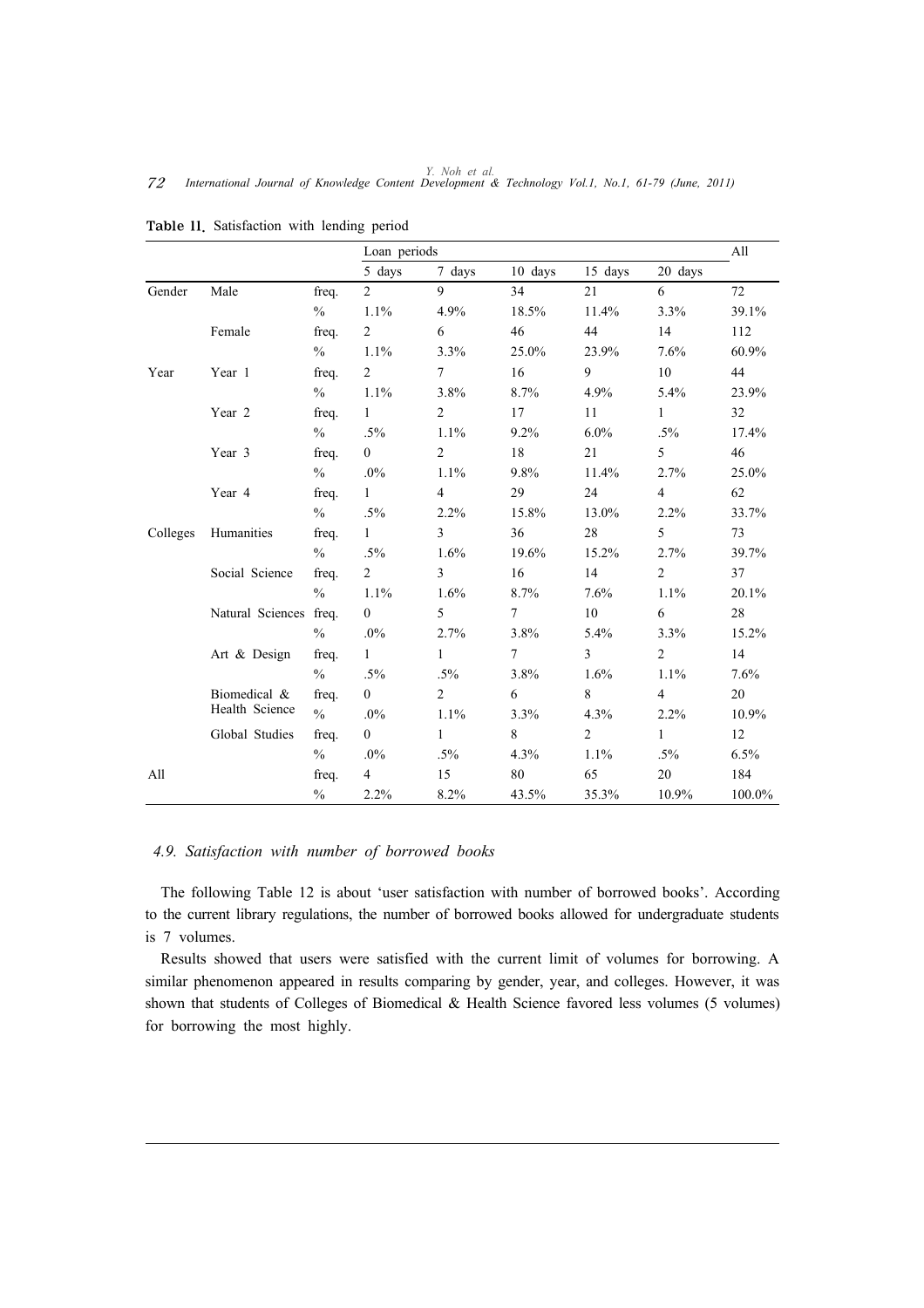|          |                  |               | Loan periods   |                |                 |                |                | All    |
|----------|------------------|---------------|----------------|----------------|-----------------|----------------|----------------|--------|
|          |                  |               | 5 days         | 7 days         | 10 days         | 15 days        | 20 days        |        |
| Gender   | Male             | freq.         | $\overline{2}$ | 9              | 34              | 21             | 6              | 72     |
|          |                  | $\%$          | 1.1%           | 4.9%           | 18.5%           | 11.4%          | 3.3%           | 39.1%  |
|          | Female           | freq.         | $\overline{2}$ | 6              | 46              | 44             | 14             | 112    |
|          |                  | $\%$          | 1.1%           | 3.3%           | 25.0%           | 23.9%          | 7.6%           | 60.9%  |
| Year     | Year 1           | freq.         | $\overline{2}$ | $\tau$         | 16              | 9              | 10             | 44     |
|          |                  | $\%$          | 1.1%           | 3.8%           | 8.7%            | 4.9%           | 5.4%           | 23.9%  |
|          | Year 2           | freq.         | $\mathbf{1}$   | $\overline{2}$ | 17              | 11             | $\mathbf{1}$   | 32     |
|          |                  | $\frac{0}{0}$ | $.5\%$         | 1.1%           | 9.2%            | 6.0%           | $.5\%$         | 17.4%  |
|          | Year 3           | freq.         | $\overline{0}$ | $\overline{2}$ | 18              | 21             | 5              | 46     |
|          |                  | $\%$          | $.0\%$         | 1.1%           | 9.8%            | 11.4%          | 2.7%           | 25.0%  |
|          | Year 4           | freq.         | $\mathbf{1}$   | $\overline{4}$ | 29              | 24             | $\overline{4}$ | 62     |
|          |                  | $\frac{0}{0}$ | $.5\%$         | 2.2%           | 15.8%           | 13.0%          | 2.2%           | 33.7%  |
| Colleges | Humanities       | freq.         | $\mathbf{1}$   | $\overline{3}$ | 36              | 28             | 5              | 73     |
|          |                  | $\frac{0}{0}$ | $.5\%$         | 1.6%           | 19.6%           | 15.2%          | 2.7%           | 39.7%  |
|          | Social Science   | freq.         | $\overline{2}$ | $\overline{3}$ | 16              | 14             | $\overline{2}$ | 37     |
|          |                  | $\frac{0}{0}$ | 1.1%           | 1.6%           | 8.7%            | 7.6%           | 1.1%           | 20.1%  |
|          | Natural Sciences | freq.         | $\overline{0}$ | 5              | $\tau$          | $10\,$         | 6              | 28     |
|          |                  | $\frac{0}{0}$ | $.0\%$         | 2.7%           | 3.8%            | 5.4%           | 3.3%           | 15.2%  |
|          | Art & Design     | freq.         | $\mathbf{1}$   | $\mathbf{1}$   | $7\overline{ }$ | $\overline{3}$ | $\overline{2}$ | 14     |
|          |                  | $\frac{0}{0}$ | $.5\%$         | $.5\%$         | 3.8%            | 1.6%           | 1.1%           | 7.6%   |
|          | Biomedical &     | freq.         | $\overline{0}$ | $\overline{2}$ | 6               | 8              | $\overline{4}$ | 20     |
|          | Health Science   | $\frac{0}{0}$ | $.0\%$         | 1.1%           | 3.3%            | 4.3%           | 2.2%           | 10.9%  |
|          | Global Studies   | freq.         | $\overline{0}$ | $\mathbf{1}$   | 8               | $\overline{2}$ | $\mathbf{1}$   | 12     |
|          |                  | $\frac{0}{0}$ | $.0\%$         | $.5\%$         | 4.3%            | 1.1%           | $.5\%$         | 6.5%   |
| All      |                  | freq.         | $\overline{4}$ | 15             | 80              | 65             | 20             | 184    |
|          |                  | $\%$          | 2.2%           | 8.2%           | 43.5%           | 35.3%          | 10.9%          | 100.0% |

Table 11. Satisfaction with lending period

# *4.9. Satisfaction with number of borrowed books*

The following Table 12 is about 'user satisfaction with number of borrowed books'. According to the current library regulations, the number of borrowed books allowed for undergraduate students is 7 volumes.

Results showed that users were satisfied with the current limit of volumes for borrowing. A similar phenomenon appeared in results comparing by gender, year, and colleges. However, it was shown that students of Colleges of Biomedical & Health Science favored less volumes (5 volumes) for borrowing the most highly.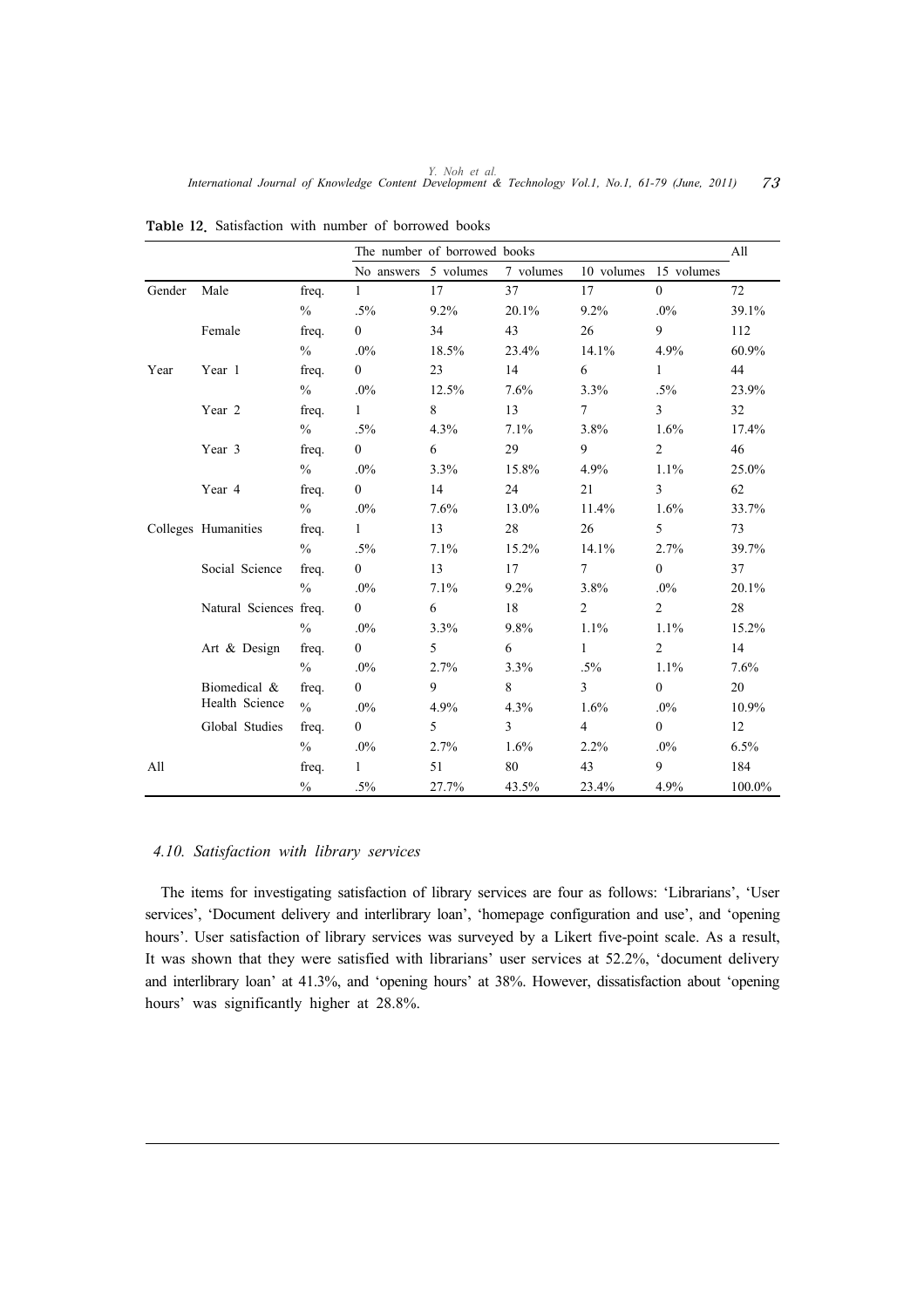|        |                        |               |                      | The number of borrowed books |                |                |                       | All    |
|--------|------------------------|---------------|----------------------|------------------------------|----------------|----------------|-----------------------|--------|
|        |                        |               | No answers 5 volumes |                              | 7 volumes      |                | 10 volumes 15 volumes |        |
| Gender | Male                   | freq.         | $\mathbf{1}$         | 17                           | 37             | 17             | $\overline{0}$        | 72     |
|        |                        | $\frac{0}{0}$ | $.5\%$               | 9.2%                         | 20.1%          | 9.2%           | $.0\%$                | 39.1%  |
|        | Female                 | freq.         | $\overline{0}$       | 34                           | 43             | 26             | 9                     | 112    |
|        |                        | $\frac{0}{0}$ | $.0\%$               | 18.5%                        | 23.4%          | 14.1%          | 4.9%                  | 60.9%  |
| Year   | Year 1                 | freq.         | $\overline{0}$       | 23                           | 14             | 6              | $\mathbf{1}$          | 44     |
|        |                        | $\frac{0}{0}$ | $.0\%$               | 12.5%                        | 7.6%           | 3.3%           | $.5\%$                | 23.9%  |
|        | Year 2                 | freq.         | $\mathbf{1}$         | 8                            | 13             | $\tau$         | $\overline{3}$        | 32     |
|        |                        | $\%$          | $.5\%$               | 4.3%                         | 7.1%           | 3.8%           | 1.6%                  | 17.4%  |
|        | Year 3                 | freq.         | $\overline{0}$       | 6                            | 29             | 9              | $\overline{2}$        | 46     |
|        |                        | $\frac{0}{0}$ | $.0\%$               | 3.3%                         | 15.8%          | 4.9%           | 1.1%                  | 25.0%  |
|        | Year 4                 | freq.         | $\theta$             | 14                           | 24             | 21             | 3                     | 62     |
|        |                        | $\%$          | $.0\%$               | 7.6%                         | 13.0%          | 11.4%          | 1.6%                  | 33.7%  |
|        | Colleges Humanities    | freq.         | $\mathbf{1}$         | 13                           | 28             | 26             | 5                     | 73     |
|        |                        | $\%$          | $.5\%$               | 7.1%                         | 15.2%          | 14.1%          | 2.7%                  | 39.7%  |
|        | Social Science         | freq.         | $\overline{0}$       | 13                           | 17             | $\overline{7}$ | $\overline{0}$        | 37     |
|        |                        | $\frac{0}{0}$ | $.0\%$               | 7.1%                         | 9.2%           | 3.8%           | $.0\%$                | 20.1%  |
|        | Natural Sciences freq. |               | $\overline{0}$       | 6                            | 18             | $\overline{2}$ | $\overline{2}$        | 28     |
|        |                        | $\frac{0}{0}$ | $.0\%$               | 3.3%                         | 9.8%           | 1.1%           | 1.1%                  | 15.2%  |
|        | Art & Design           | freq.         | $\overline{0}$       | 5                            | 6              | $\mathbf{1}$   | $\overline{2}$        | 14     |
|        |                        | $\%$          | $.0\%$               | 2.7%                         | 3.3%           | $.5\%$         | 1.1%                  | 7.6%   |
|        | Biomedical &           | freq.         | $\theta$             | 9                            | 8              | $\overline{3}$ | $\overline{0}$        | 20     |
|        | Health Science         | $\%$          | $.0\%$               | 4.9%                         | 4.3%           | 1.6%           | $.0\%$                | 10.9%  |
|        | Global Studies         | freq.         | $\overline{0}$       | 5                            | $\overline{3}$ | $\overline{4}$ | $\overline{0}$        | 12     |
|        |                        | $\frac{0}{0}$ | $.0\%$               | 2.7%                         | 1.6%           | 2.2%           | $.0\%$                | 6.5%   |
| All    |                        | freq.         | $\mathbf{1}$         | 51                           | 80             | 43             | 9                     | 184    |
|        |                        | $\frac{0}{0}$ | $.5\%$               | 27.7%                        | 43.5%          | 23.4%          | 4.9%                  | 100.0% |

Table 12. Satisfaction with number of borrowed books

# *4.10. Satisfaction with library services*

The items for investigating satisfaction of library services are four as follows: 'Librarians', 'User services', 'Document delivery and interlibrary loan', 'homepage configuration and use', and 'opening hours'. User satisfaction of library services was surveyed by a Likert five-point scale. As a result, It was shown that they were satisfied with librarians' user services at 52.2%, 'document delivery and interlibrary loan' at 41.3%, and 'opening hours' at 38%. However, dissatisfaction about 'opening hours' was significantly higher at 28.8%.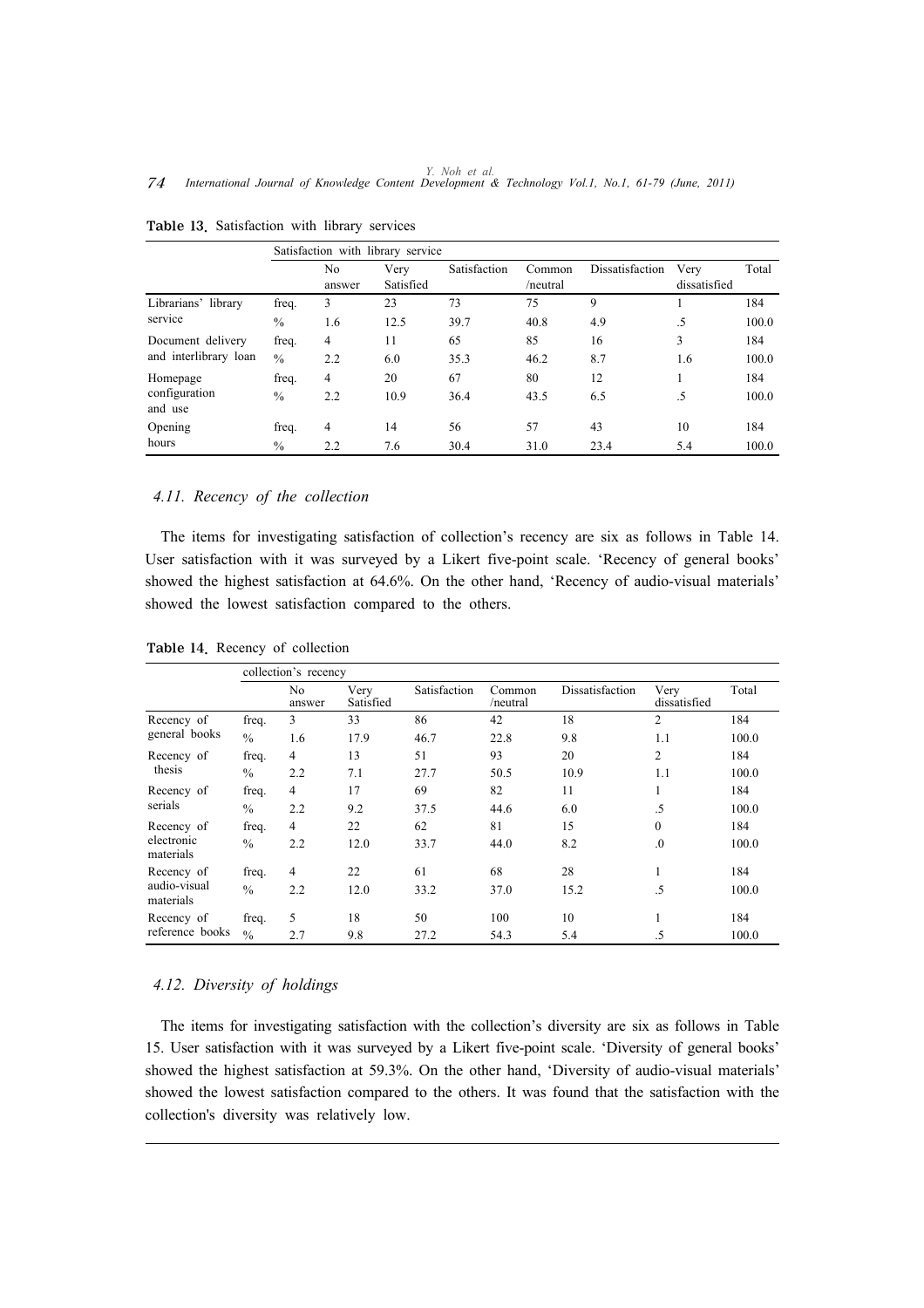|                          |               | Satisfaction with library service |                   |              |                    |                 |                      |       |  |  |  |  |
|--------------------------|---------------|-----------------------------------|-------------------|--------------|--------------------|-----------------|----------------------|-------|--|--|--|--|
|                          |               | No<br>answer                      | Very<br>Satisfied | Satisfaction | Common<br>/neutral | Dissatisfaction | Very<br>dissatisfied | Total |  |  |  |  |
| Librarians' library      | freq.         | 3                                 | 23                | 73           | 75                 | 9               |                      | 184   |  |  |  |  |
| service                  | $\%$          | 1.6                               | 12.5              | 39.7         | 40.8               | 4.9             | .5                   | 100.0 |  |  |  |  |
| Document delivery        | freq.         | $\overline{4}$                    | 11                | 65           | 85                 | 16              | 3                    | 184   |  |  |  |  |
| and interlibrary loan    | $\frac{0}{0}$ | 2.2                               | 6.0               | 35.3         | 46.2               | 8.7             | 1.6                  | 100.0 |  |  |  |  |
| Homepage                 | freq.         | 4                                 | 20                | 67           | 80                 | 12              |                      | 184   |  |  |  |  |
| configuration<br>and use | $\frac{0}{0}$ | 2.2                               | 10.9              | 36.4         | 43.5               | 6.5             | .5                   | 100.0 |  |  |  |  |
| Opening                  | freq.         | 4                                 | 14                | 56           | 57                 | 43              | 10                   | 184   |  |  |  |  |
| hours                    | $\%$          | 2.2                               | 7.6               | 30.4         | 31.0               | 23.4            | 5.4                  | 100.0 |  |  |  |  |

Table 13. Satisfaction with library services

# *4.11. Recency of the collection*

The items for investigating satisfaction of collection's recency are six as follows in Table 14. User satisfaction with it was surveyed by a Likert five-point scale. 'Recency of general books' showed the highest satisfaction at 64.6%. On the other hand, 'Recency of audio-visual materials' showed the lowest satisfaction compared to the others.

|                           |               | collection's recency |                   |              |                    |                 |                      |       |
|---------------------------|---------------|----------------------|-------------------|--------------|--------------------|-----------------|----------------------|-------|
|                           |               | No<br>answer         | Very<br>Satisfied | Satisfaction | Common<br>/neutral | Dissatisfaction | Very<br>dissatisfied | Total |
| Recency of                | freq.         | 3                    | 33                | 86           | 42                 | 18              | $\overline{2}$       | 184   |
| general books             | $\frac{0}{0}$ | 1.6                  | 17.9              | 46.7         | 22.8               | 9.8             | 1.1                  | 100.0 |
| Recency of                | freq.         | 4                    | 13                | 51           | 93                 | 20              | $\overline{c}$       | 184   |
| thesis                    | $\frac{0}{0}$ | 2.2                  | 7.1               | 27.7         | 50.5               | 10.9            | 1.1                  | 100.0 |
| Recency of                | freq.         | 4                    | 17                | 69           | 82                 | 11              | -1                   | 184   |
| serials                   | $\frac{0}{0}$ | 2.2                  | 9.2               | 37.5         | 44.6               | 6.0             | .5                   | 100.0 |
| Recency of                | freq.         | 4                    | 22                | 62           | 81                 | 15              | $\mathbf{0}$         | 184   |
| electronic<br>materials   | $\frac{0}{0}$ | 2.2                  | 12.0              | 33.7         | 44.0               | 8.2             | $\overline{0}$       | 100.0 |
| Recency of                | freq.         | 4                    | 22                | 61           | 68                 | 28              | л.                   | 184   |
| audio-visual<br>materials | $\frac{0}{0}$ | 2.2                  | 12.0              | 33.2         | 37.0               | 15.2            | .5                   | 100.0 |
| Recency of                | freq.         | 5                    | 18                | 50           | 100                | 10              | -1                   | 184   |
| reference books           | $\frac{0}{0}$ | 2.7                  | 9.8               | 27.2         | 54.3               | 5.4             | .5                   | 100.0 |

Table 14. Recency of collection

#### *4.12. Diversity of holdings*

The items for investigating satisfaction with the collection's diversity are six as follows in Table 15. User satisfaction with it was surveyed by a Likert five-point scale. 'Diversity of general books' showed the highest satisfaction at 59.3%. On the other hand, 'Diversity of audio-visual materials' showed the lowest satisfaction compared to the others. It was found that the satisfaction with the collection's diversity was relatively low.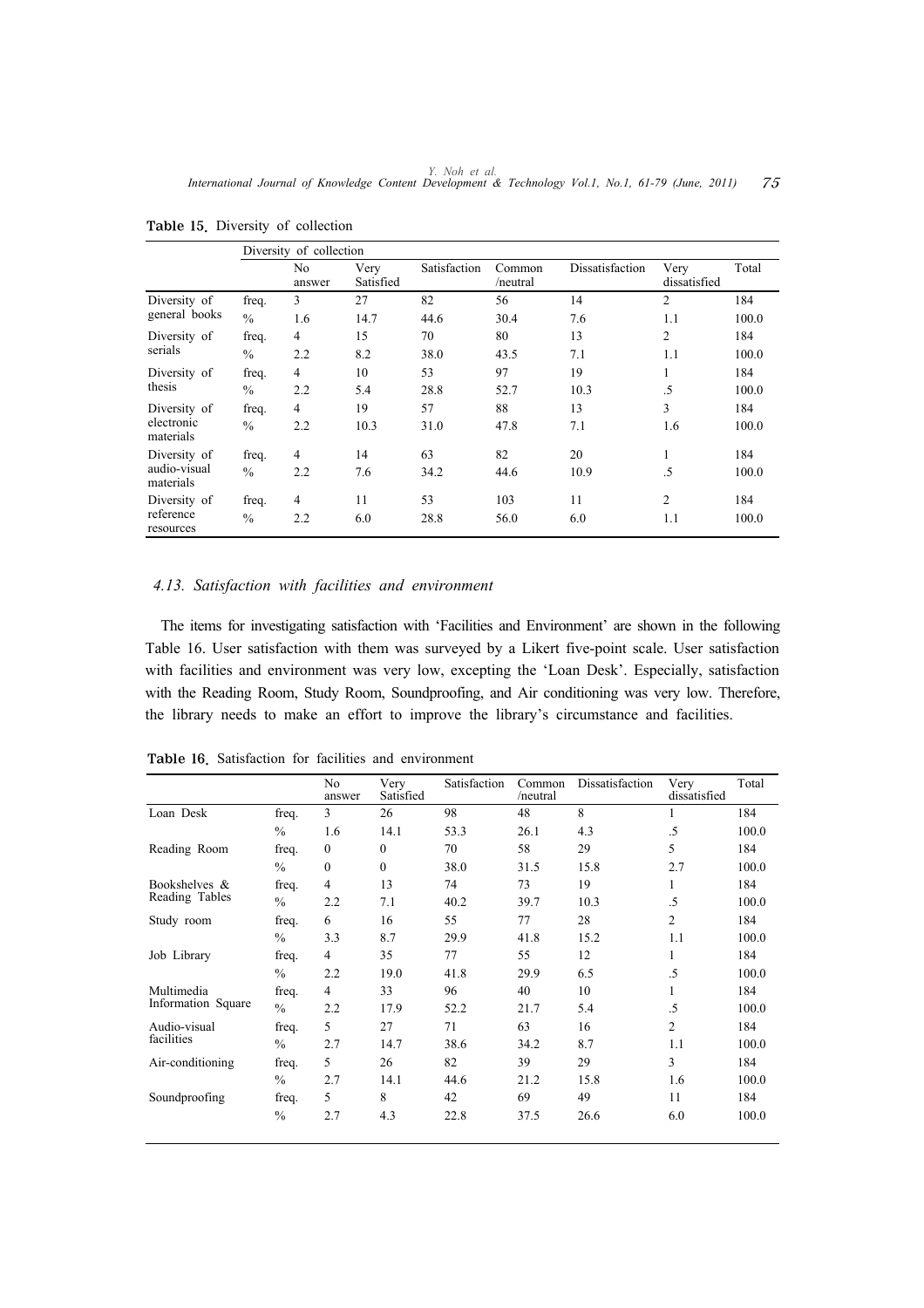|                           |               | Diversity of collection |                   |              |                    |                 |                      |       |
|---------------------------|---------------|-------------------------|-------------------|--------------|--------------------|-----------------|----------------------|-------|
|                           |               | No<br>answer            | Very<br>Satisfied | Satisfaction | Common<br>/neutral | Dissatisfaction | Very<br>dissatisfied | Total |
| Diversity of              | freq.         | 3                       | 27                | 82           | 56                 | 14              | 2                    | 184   |
| general books             | $\frac{0}{0}$ | 1.6                     | 14.7              | 44.6         | 30.4               | 7.6             | 1.1                  | 100.0 |
| Diversity of              | freq.         | 4                       | 15                | 70           | 80                 | 13              | 2                    | 184   |
| serials                   | $\frac{0}{0}$ | 2.2                     | 8.2               | 38.0         | 43.5               | 7.1             | 1.1                  | 100.0 |
| Diversity of              | freq.         | 4                       | 10                | 53           | 97                 | 19              | 1                    | 184   |
| thesis                    | $\frac{0}{0}$ | 2.2                     | 5.4               | 28.8         | 52.7               | 10.3            | .5                   | 100.0 |
| Diversity of              | freq.         | 4                       | 19                | 57           | 88                 | 13              | 3                    | 184   |
| electronic<br>materials   | $\frac{0}{0}$ | 2.2                     | 10.3              | 31.0         | 47.8               | 7.1             | 1.6                  | 100.0 |
| Diversity of              | freq.         | 4                       | 14                | 63           | 82                 | 20              | 1                    | 184   |
| audio-visual<br>materials | $\frac{0}{0}$ | 2.2                     | 7.6               | 34.2         | 44.6               | 10.9            | .5                   | 100.0 |
| Diversity of              | freq.         | 4                       | 11                | 53           | 103                | 11              | $\overline{2}$       | 184   |
| reference<br>resources    | $\frac{0}{0}$ | 2.2                     | 6.0               | 28.8         | 56.0               | 6.0             | 1.1                  | 100.0 |

Table 15. Diversity of collection

# *4.13. Satisfaction with facilities and environment*

The items for investigating satisfaction with 'Facilities and Environment' are shown in the following Table 16. User satisfaction with them was surveyed by a Likert five-point scale. User satisfaction with facilities and environment was very low, excepting the 'Loan Desk'. Especially, satisfaction with the Reading Room, Study Room, Soundproofing, and Air conditioning was very low. Therefore, the library needs to make an effort to improve the library's circumstance and facilities.

|                    |               | No<br>answer   | Very<br>Satisfied | Satisfaction | Common<br>/neutral | Dissatisfaction | Very<br>dissatisfied | Total |
|--------------------|---------------|----------------|-------------------|--------------|--------------------|-----------------|----------------------|-------|
| Loan Desk          | freq.         | 3              | 26                | 98           | 48                 | 8               | 1                    | 184   |
|                    | $\frac{0}{0}$ | 1.6            | 14.1              | 53.3         | 26.1               | 4.3             | .5                   | 100.0 |
| Reading Room       | freq.         | $\theta$       | $\theta$          | 70           | 58                 | 29              | 5                    | 184   |
|                    | $\frac{0}{0}$ | $\Omega$       | $\theta$          | 38.0         | 31.5               | 15.8            | 2.7                  | 100.0 |
| Bookshelves &      | freq.         | 4              | 13                | 74           | 73                 | 19              | 1                    | 184   |
| Reading Tables     | $\frac{0}{0}$ | 2.2            | 7.1               | 40.2         | 39.7               | 10.3            | .5                   | 100.0 |
| Study room         | freq.         | 6              | 16                | 55           | 77                 | 28              | 2                    | 184   |
|                    | $\frac{0}{0}$ | 3.3            | 8.7               | 29.9         | 41.8               | 15.2            | 1.1                  | 100.0 |
| Job Library        | freq.         | $\overline{4}$ | 35                | 77           | 55                 | 12              | 1                    | 184   |
|                    | $\frac{0}{0}$ | 2.2            | 19.0              | 41.8         | 29.9               | 6.5             | $.5\,$               | 100.0 |
| Multimedia         | freq.         | $\overline{4}$ | 33                | 96           | 40                 | 10              |                      | 184   |
| Information Square | $\frac{0}{0}$ | 2.2            | 17.9              | 52.2         | 21.7               | 5.4             | .5                   | 100.0 |
| Audio-visual       | freq.         | 5              | 27                | 71           | 63                 | 16              | $\overline{c}$       | 184   |
| facilities         | $\frac{0}{0}$ | 2.7            | 14.7              | 38.6         | 34.2               | 8.7             | 1.1                  | 100.0 |
| Air-conditioning   | freq.         | 5              | 26                | 82           | 39                 | 29              | 3                    | 184   |
|                    | $\frac{0}{0}$ | 2.7            | 14.1              | 44.6         | 21.2               | 15.8            | 1.6                  | 100.0 |
| Soundproofing      | freq.         | 5              | 8                 | 42           | 69                 | 49              | 11                   | 184   |
|                    | $\frac{0}{0}$ | 2.7            | 4.3               | 22.8         | 37.5               | 26.6            | 6.0                  | 100.0 |

Table 16. Satisfaction for facilities and environment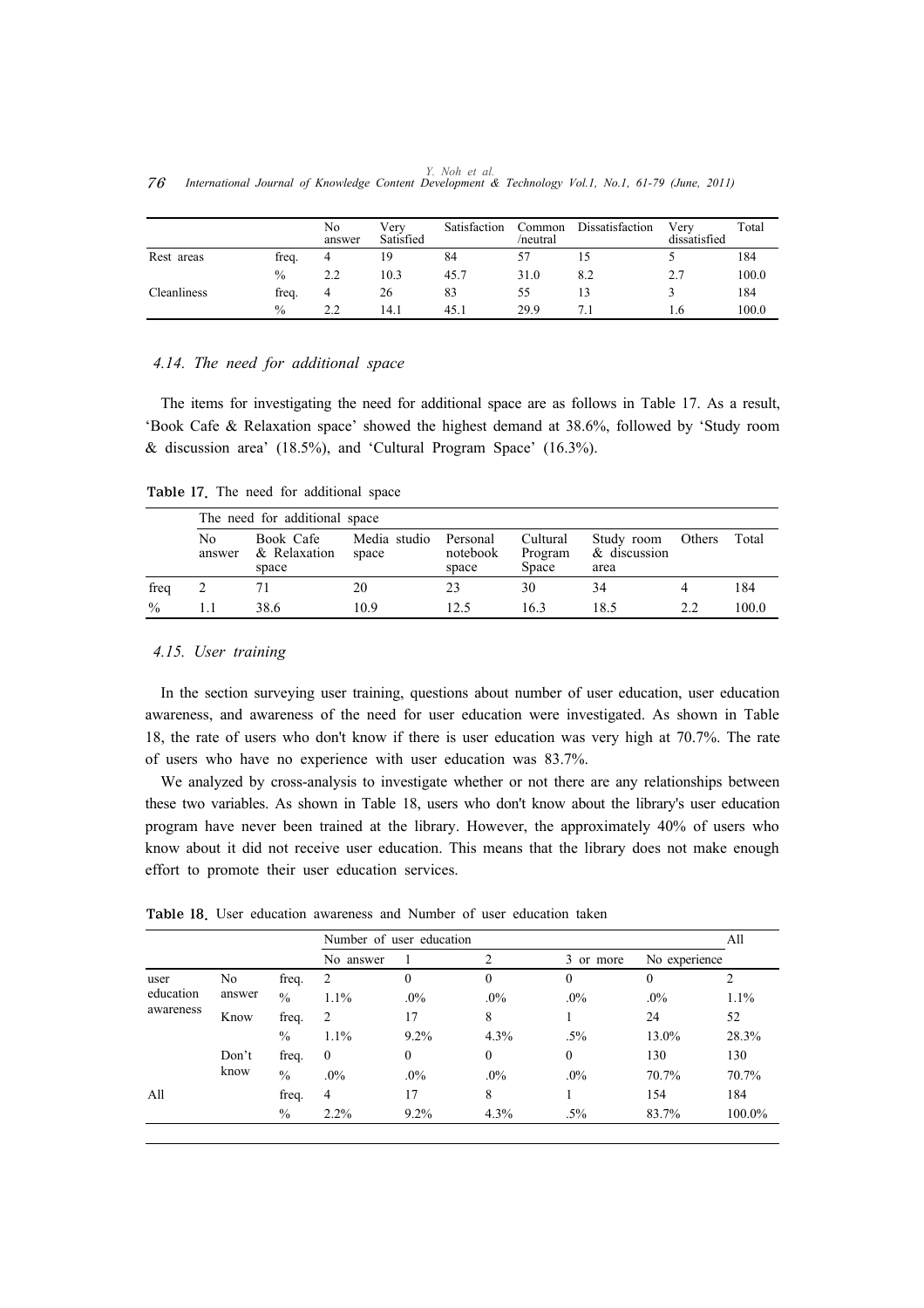|    |                                                                                                     |  |  | Y. Noh et al. |  |  |  |  |
|----|-----------------------------------------------------------------------------------------------------|--|--|---------------|--|--|--|--|
| 76 | International Journal of Knowledge Content Development & Technology Vol.1, No.1, 61-79 (June, 2011) |  |  |               |  |  |  |  |

|             |       | No<br>answer | Very<br>Satisfied | Satisfaction | Common<br>/neutral | Dissatisfaction | Very<br>dissatisfied | Total |
|-------------|-------|--------------|-------------------|--------------|--------------------|-----------------|----------------------|-------|
| Rest areas  | freq. | 4            | 19                | 84           |                    |                 |                      | 184   |
|             | $\%$  | 2.2          | 10.3              | 45.7         | 31.0               | 8.2             | 2.7                  | 100.0 |
| Cleanliness | freq. | 4            | 26                | 83           | 55                 | 13              |                      | 184   |
|             | $\%$  | 2.2          | 14.1              | 45.1         | 29.9               |                 | l.6                  | 100.0 |

# *4.14. The need for additional space*

The items for investigating the need for additional space are as follows in Table 17. As a result, 'Book Cafe & Relaxation space' showed the highest demand at 38.6%, followed by 'Study room & discussion area' (18.5%), and 'Cultural Program Space' (16.3%).

Table 17. The need for additional space

|               | The need for additional space |                                    |                       |                               |                              |                                       |        |       |  |  |  |  |  |
|---------------|-------------------------------|------------------------------------|-----------------------|-------------------------------|------------------------------|---------------------------------------|--------|-------|--|--|--|--|--|
|               | No<br>answer                  | Book Cafe<br>& Relaxation<br>space | Media studio<br>space | Personal<br>notebook<br>space | Cultural<br>Program<br>Space | Study room<br>$\&$ discussion<br>area | Others | Total |  |  |  |  |  |
| freq          |                               |                                    | 20                    | 23                            | 30                           | 34                                    |        | 184   |  |  |  |  |  |
| $\frac{0}{0}$ |                               | 38.6                               | 10.9                  | 12.5                          | 16.3                         | 18.5                                  | ? ?    | 100.0 |  |  |  |  |  |

#### *4.15. User training*

In the section surveying user training, questions about number of user education, user education awareness, and awareness of the need for user education were investigated. As shown in Table 18, the rate of users who don't know if there is user education was very high at 70.7%. The rate of users who have no experience with user education was 83.7%.

We analyzed by cross-analysis to investigate whether or not there are any relationships between these two variables. As shown in Table 18, users who don't know about the library's user education program have never been trained at the library. However, the approximately 40% of users who know about it did not receive user education. This means that the library does not make enough effort to promote their user education services.

|                        |        |               |                | Number of user education |              |              |                  |         |  |  |
|------------------------|--------|---------------|----------------|--------------------------|--------------|--------------|------------------|---------|--|--|
|                        |        |               | No answer      |                          | 2            | 3 or more    | No experience    |         |  |  |
| user                   | No     | freq.         | 2              | 0                        | $\mathbf{0}$ | $\theta$     | $\boldsymbol{0}$ |         |  |  |
| education<br>awareness | answer | $\frac{0}{0}$ | $1.1\%$        | $.0\%$                   | $.0\%$       | $.0\%$       | $.0\%$           | $1.1\%$ |  |  |
|                        | Know   | freq.         | 2              | 17                       | 8            |              | 24               | 52      |  |  |
|                        |        | $\%$          | $1.1\%$        | $9.2\%$                  | $4.3\%$      | $.5\%$       | 13.0%            | 28.3%   |  |  |
|                        | Don't  | freq.         | $\mathbf{0}$   | $\mathbf{0}$             | $\mathbf{0}$ | $\mathbf{0}$ | 130              | 130     |  |  |
|                        | know   | $\frac{0}{0}$ | $.0\%$         | $.0\%$                   | $.0\%$       | $.0\%$       | 70.7%            | 70.7%   |  |  |
| All                    |        | freq.         | $\overline{4}$ | 17                       | 8            |              | 154              | 184     |  |  |
|                        |        | $\%$          | $2.2\%$        | $9.2\%$                  | 4.3%         | $.5\%$       | 83.7%            | 100.0%  |  |  |

Table 18. User education awareness and Number of user education taken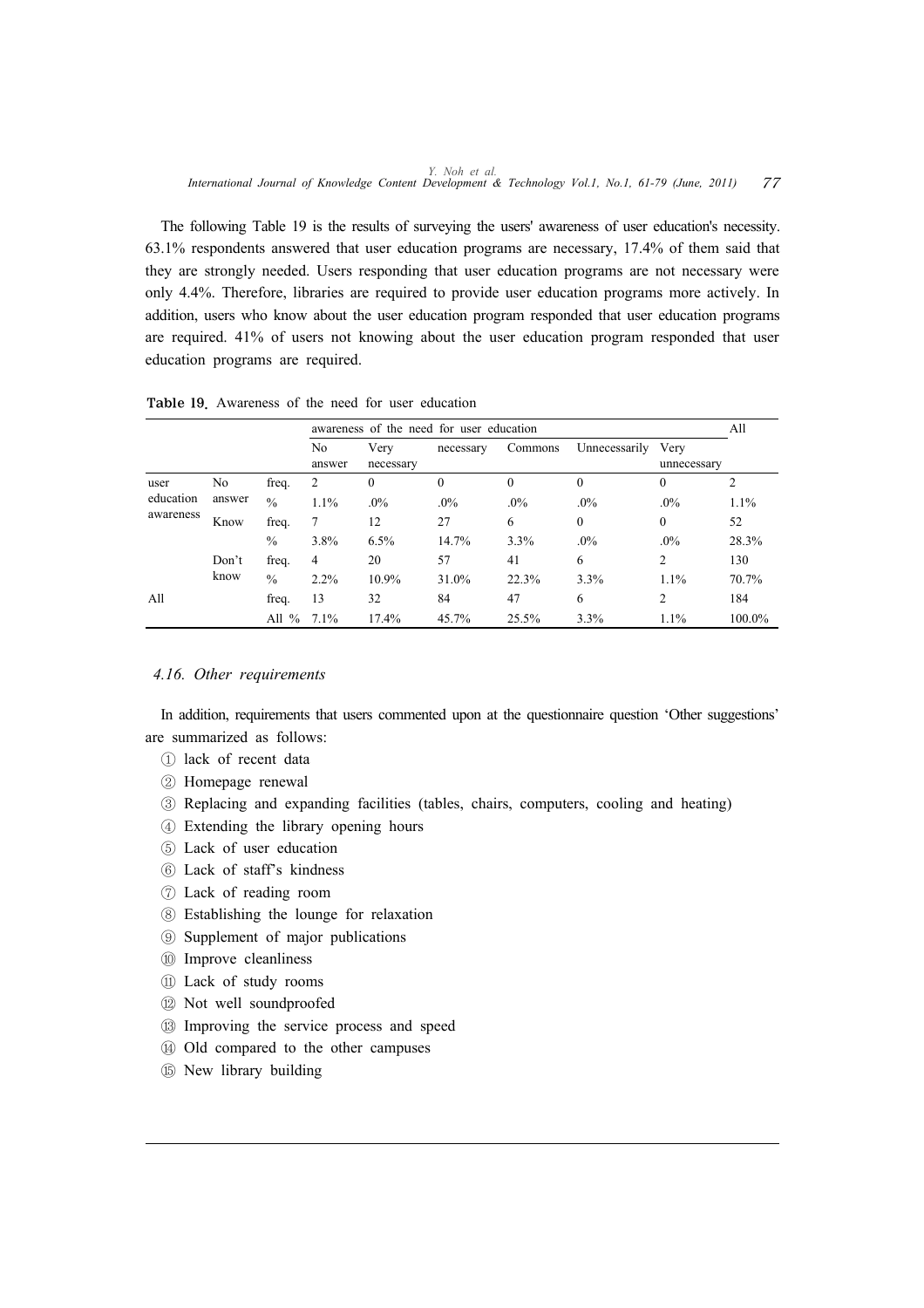The following Table 19 is the results of surveying the users' awareness of user education's necessity. 63.1% respondents answered that user education programs are necessary, 17.4% of them said that they are strongly needed. Users responding that user education programs are not necessary were only 4.4%. Therefore, libraries are required to provide user education programs more actively. In addition, users who know about the user education program responded that user education programs are required. 41% of users not knowing about the user education program responded that user education programs are required.

|           |        |                      |                |                   | awareness of the need for user education |          |               |                     | All     |
|-----------|--------|----------------------|----------------|-------------------|------------------------------------------|----------|---------------|---------------------|---------|
|           |        |                      | No<br>answer   | Very<br>necessary | necessary                                | Commons  | Unnecessarily | Very<br>unnecessary |         |
| user      | No     | freq.                | 2              | $\mathbf{0}$      | $\theta$                                 | $\Omega$ | $\theta$      | 0                   | 2       |
| education | answer | $\frac{0}{0}$        | $1.1\%$        | $.0\%$            | $.0\%$                                   | $.0\%$   | $.0\%$        | $.0\%$              | $1.1\%$ |
| awareness | Know   | freq.                | 7              | 12                | 27                                       | 6        | $\mathbf{0}$  | $\theta$            | 52      |
|           |        | $\%$                 | 3.8%           | 6.5%              | 14.7%                                    | 3.3%     | $.0\%$        | $.0\%$              | 28.3%   |
|           | Don't  | freq.                | $\overline{4}$ | 20                | 57                                       | 41       | 6             | $\overline{c}$      | 130     |
|           | know   | $\frac{0}{0}$        | $2.2\%$        | 10.9%             | 31.0%                                    | 22.3%    | 3.3%          | $1.1\%$             | 70.7%   |
| All       |        | freq.                | 13             | 32                | 84                                       | 47       | 6             | 2                   | 184     |
|           |        | All<br>$\frac{0}{0}$ | $7.1\%$        | 17.4%             | 45.7%                                    | 25.5%    | 3.3%          | 1.1%                | 100.0%  |

Table 19. Awareness of the need for user education

#### *4.16. Other requirements*

In addition, requirements that users commented upon at the questionnaire question 'Other suggestions' are summarized as follows:

- ① lack of recent data
- ② Homepage renewal
- ③ Replacing and expanding facilities (tables, chairs, computers, cooling and heating)
- ④ Extending the library opening hours
- ⑤ Lack of user education
- ⑥ Lack of staff's kindness
- ⑦ Lack of reading room
- ⑧ Establishing the lounge for relaxation
- ⑨ Supplement of major publications
- ⑩ Improve cleanliness
- ⑪ Lack of study rooms
- ⑫ Not well soundproofed
- ⑬ Improving the service process and speed
- ⑭ Old compared to the other campuses
- ⑮ New library building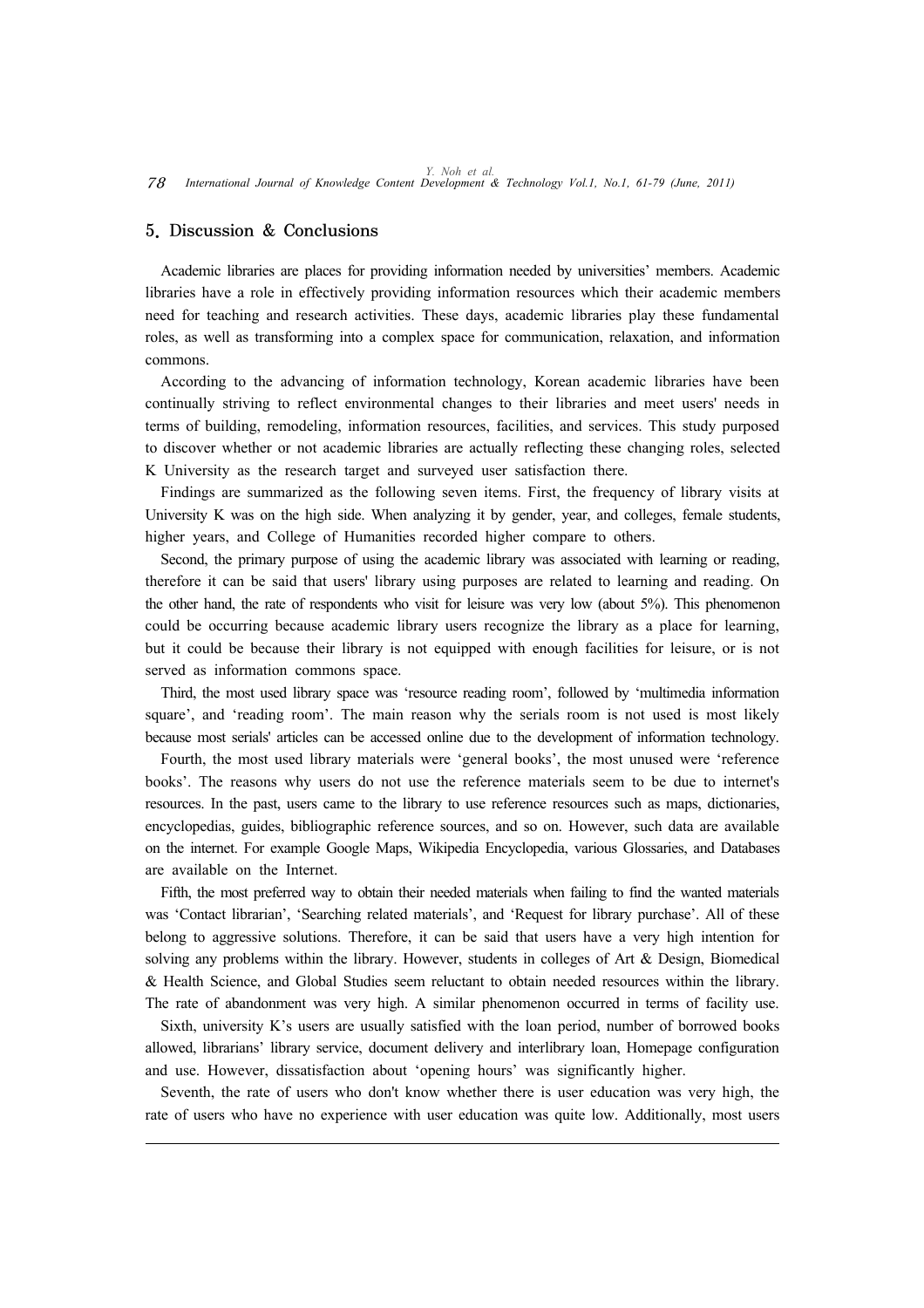# 5. Discussion & Conclusions

Academic libraries are places for providing information needed by universities' members. Academic libraries have a role in effectively providing information resources which their academic members need for teaching and research activities. These days, academic libraries play these fundamental roles, as well as transforming into a complex space for communication, relaxation, and information commons.

According to the advancing of information technology, Korean academic libraries have been continually striving to reflect environmental changes to their libraries and meet users' needs in terms of building, remodeling, information resources, facilities, and services. This study purposed to discover whether or not academic libraries are actually reflecting these changing roles, selected K University as the research target and surveyed user satisfaction there.

Findings are summarized as the following seven items. First, the frequency of library visits at University K was on the high side. When analyzing it by gender, year, and colleges, female students, higher years, and College of Humanities recorded higher compare to others.

Second, the primary purpose of using the academic library was associated with learning or reading, therefore it can be said that users' library using purposes are related to learning and reading. On the other hand, the rate of respondents who visit for leisure was very low (about 5%). This phenomenon could be occurring because academic library users recognize the library as a place for learning, but it could be because their library is not equipped with enough facilities for leisure, or is not served as information commons space.

Third, the most used library space was 'resource reading room', followed by 'multimedia information square', and 'reading room'. The main reason why the serials room is not used is most likely because most serials' articles can be accessed online due to the development of information technology.

Fourth, the most used library materials were 'general books', the most unused were 'reference books'. The reasons why users do not use the reference materials seem to be due to internet's resources. In the past, users came to the library to use reference resources such as maps, dictionaries, encyclopedias, guides, bibliographic reference sources, and so on. However, such data are available on the internet. For example Google Maps, Wikipedia Encyclopedia, various Glossaries, and Databases are available on the Internet.

Fifth, the most preferred way to obtain their needed materials when failing to find the wanted materials was 'Contact librarian', 'Searching related materials', and 'Request for library purchase'. All of these belong to aggressive solutions. Therefore, it can be said that users have a very high intention for solving any problems within the library. However, students in colleges of Art & Design, Biomedical & Health Science, and Global Studies seem reluctant to obtain needed resources within the library. The rate of abandonment was very high. A similar phenomenon occurred in terms of facility use.

Sixth, university K's users are usually satisfied with the loan period, number of borrowed books allowed, librarians' library service, document delivery and interlibrary loan, Homepage configuration and use. However, dissatisfaction about 'opening hours' was significantly higher.

Seventh, the rate of users who don't know whether there is user education was very high, the rate of users who have no experience with user education was quite low. Additionally, most users